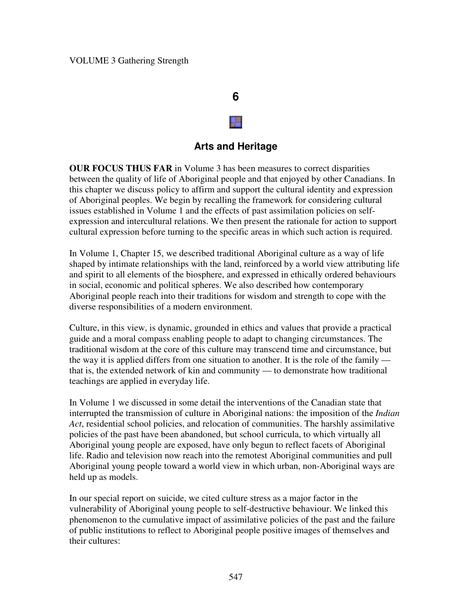# **6**

# **Arts and Heritage**

**OUR FOCUS THUS FAR** in Volume 3 has been measures to correct disparities between the quality of life of Aboriginal people and that enjoyed by other Canadians. In this chapter we discuss policy to affirm and support the cultural identity and expression of Aboriginal peoples. We begin by recalling the framework for considering cultural issues established in Volume 1 and the effects of past assimilation policies on selfexpression and intercultural relations. We then present the rationale for action to support cultural expression before turning to the specific areas in which such action is required.

In Volume 1, Chapter 15, we described traditional Aboriginal culture as a way of life shaped by intimate relationships with the land, reinforced by a world view attributing life and spirit to all elements of the biosphere, and expressed in ethically ordered behaviours in social, economic and political spheres. We also described how contemporary Aboriginal people reach into their traditions for wisdom and strength to cope with the diverse responsibilities of a modern environment.

Culture, in this view, is dynamic, grounded in ethics and values that provide a practical guide and a moral compass enabling people to adapt to changing circumstances. The traditional wisdom at the core of this culture may transcend time and circumstance, but the way it is applied differs from one situation to another. It is the role of the family that is, the extended network of kin and community — to demonstrate how traditional teachings are applied in everyday life.

In Volume 1 we discussed in some detail the interventions of the Canadian state that interrupted the transmission of culture in Aboriginal nations: the imposition of the *Indian Act*, residential school policies, and relocation of communities. The harshly assimilative policies of the past have been abandoned, but school curricula, to which virtually all Aboriginal young people are exposed, have only begun to reflect facets of Aboriginal life. Radio and television now reach into the remotest Aboriginal communities and pull Aboriginal young people toward a world view in which urban, non-Aboriginal ways are held up as models.

In our special report on suicide, we cited culture stress as a major factor in the vulnerability of Aboriginal young people to self-destructive behaviour. We linked this phenomenon to the cumulative impact of assimilative policies of the past and the failure of public institutions to reflect to Aboriginal people positive images of themselves and their cultures: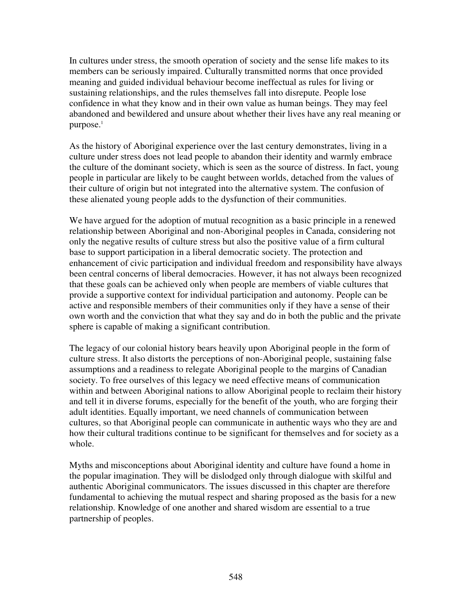In cultures under stress, the smooth operation of society and the sense life makes to its members can be seriously impaired. Culturally transmitted norms that once provided meaning and guided individual behaviour become ineffectual as rules for living or sustaining relationships, and the rules themselves fall into disrepute. People lose confidence in what they know and in their own value as human beings. They may feel abandoned and bewildered and unsure about whether their lives have any real meaning or purpose. 1

As the history of Aboriginal experience over the last century demonstrates, living in a culture under stress does not lead people to abandon their identity and warmly embrace the culture of the dominant society, which is seen as the source of distress. In fact, young people in particular are likely to be caught between worlds, detached from the values of their culture of origin but not integrated into the alternative system. The confusion of these alienated young people adds to the dysfunction of their communities.

We have argued for the adoption of mutual recognition as a basic principle in a renewed relationship between Aboriginal and non-Aboriginal peoples in Canada, considering not only the negative results of culture stress but also the positive value of a firm cultural base to support participation in a liberal democratic society. The protection and enhancement of civic participation and individual freedom and responsibility have always been central concerns of liberal democracies. However, it has not always been recognized that these goals can be achieved only when people are members of viable cultures that provide a supportive context for individual participation and autonomy. People can be active and responsible members of their communities only if they have a sense of their own worth and the conviction that what they say and do in both the public and the private sphere is capable of making a significant contribution.

The legacy of our colonial history bears heavily upon Aboriginal people in the form of culture stress. It also distorts the perceptions of non-Aboriginal people, sustaining false assumptions and a readiness to relegate Aboriginal people to the margins of Canadian society. To free ourselves of this legacy we need effective means of communication within and between Aboriginal nations to allow Aboriginal people to reclaim their history and tell it in diverse forums, especially for the benefit of the youth, who are forging their adult identities. Equally important, we need channels of communication between cultures, so that Aboriginal people can communicate in authentic ways who they are and how their cultural traditions continue to be significant for themselves and for society as a whole.

Myths and misconceptions about Aboriginal identity and culture have found a home in the popular imagination. They will be dislodged only through dialogue with skilful and authentic Aboriginal communicators. The issues discussed in this chapter are therefore fundamental to achieving the mutual respect and sharing proposed as the basis for a new relationship. Knowledge of one another and shared wisdom are essential to a true partnership of peoples.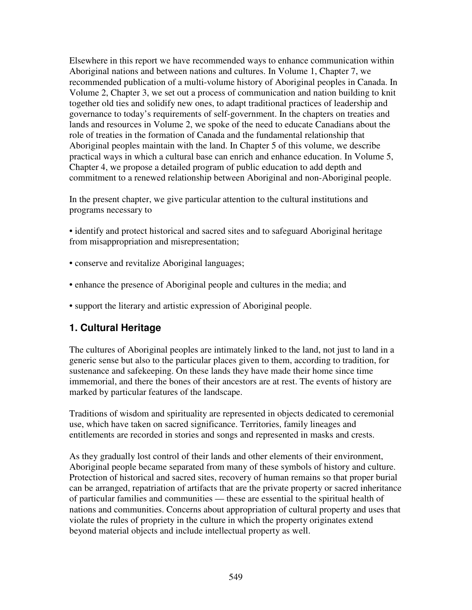Elsewhere in this report we have recommended ways to enhance communication within Aboriginal nations and between nations and cultures. In Volume 1, Chapter 7, we recommended publication of a multi-volume history of Aboriginal peoples in Canada. In Volume 2, Chapter 3, we set out a process of communication and nation building to knit together old ties and solidify new ones, to adapt traditional practices of leadership and governance to today's requirements of self-government. In the chapters on treaties and lands and resources in Volume 2, we spoke of the need to educate Canadians about the role of treaties in the formation of Canada and the fundamental relationship that Aboriginal peoples maintain with the land. In Chapter 5 of this volume, we describe practical ways in which a cultural base can enrich and enhance education. In Volume 5, Chapter 4, we propose a detailed program of public education to add depth and commitment to a renewed relationship between Aboriginal and non-Aboriginal people.

In the present chapter, we give particular attention to the cultural institutions and programs necessary to

• identify and protect historical and sacred sites and to safeguard Aboriginal heritage from misappropriation and misrepresentation;

- conserve and revitalize Aboriginal languages;
- enhance the presence of Aboriginal people and cultures in the media; and
- support the literary and artistic expression of Aboriginal people.

# **1. Cultural Heritage**

The cultures of Aboriginal peoples are intimately linked to the land, not just to land in a generic sense but also to the particular places given to them, according to tradition, for sustenance and safekeeping. On these lands they have made their home since time immemorial, and there the bones of their ancestors are at rest. The events of history are marked by particular features of the landscape.

Traditions of wisdom and spirituality are represented in objects dedicated to ceremonial use, which have taken on sacred significance. Territories, family lineages and entitlements are recorded in stories and songs and represented in masks and crests.

As they gradually lost control of their lands and other elements of their environment, Aboriginal people became separated from many of these symbols of history and culture. Protection of historical and sacred sites, recovery of human remains so that proper burial can be arranged, repatriation of artifacts that are the private property or sacred inheritance of particular families and communities — these are essential to the spiritual health of nations and communities. Concerns about appropriation of cultural property and uses that violate the rules of propriety in the culture in which the property originates extend beyond material objects and include intellectual property as well.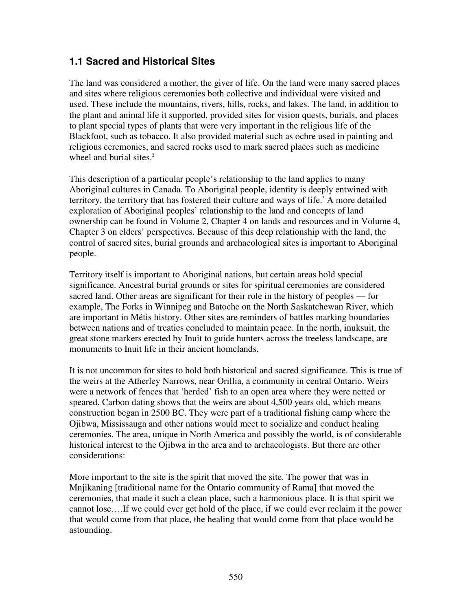# **1.1 Sacred and Historical Sites**

The land was considered a mother, the giver of life. On the land were many sacred places and sites where religious ceremonies both collective and individual were visited and used. These include the mountains, rivers, hills, rocks, and lakes. The land, in addition to the plant and animal life it supported, provided sites for vision quests, burials, and places to plant special types of plants that were very important in the religious life of the Blackfoot, such as tobacco. It also provided material such as ochre used in painting and religious ceremonies, and sacred rocks used to mark sacred places such as medicine wheel and burial sites.<sup>2</sup>

This description of a particular people's relationship to the land applies to many Aboriginal cultures in Canada. To Aboriginal people, identity is deeply entwined with territory, the territory that has fostered their culture and ways of life. <sup>3</sup> A more detailed exploration of Aboriginal peoples' relationship to the land and concepts of land ownership can be found in Volume 2, Chapter 4 on lands and resources and in Volume 4, Chapter 3 on elders' perspectives. Because of this deep relationship with the land, the control of sacred sites, burial grounds and archaeological sites is important to Aboriginal people.

Territory itself is important to Aboriginal nations, but certain areas hold special significance. Ancestral burial grounds or sites for spiritual ceremonies are considered sacred land. Other areas are significant for their role in the history of peoples — for example, The Forks in Winnipeg and Batoche on the North Saskatchewan River, which are important in Métis history. Other sites are reminders of battles marking boundaries between nations and of treaties concluded to maintain peace. In the north, inuksuit, the great stone markers erected by Inuit to guide hunters across the treeless landscape, are monuments to Inuit life in their ancient homelands.

It is not uncommon for sites to hold both historical and sacred significance. This is true of the weirs at the Atherley Narrows, near Orillia, a community in central Ontario. Weirs were a network of fences that 'herded' fish to an open area where they were netted or speared. Carbon dating shows that the weirs are about 4,500 years old, which means construction began in 2500 BC. They were part of a traditional fishing camp where the Ojibwa, Mississauga and other nations would meet to socialize and conduct healing ceremonies. The area, unique in North America and possibly the world, is of considerable historical interest to the Ojibwa in the area and to archaeologists. But there are other considerations:

More important to the site is the spirit that moved the site. The power that was in Mnjikaning [traditional name for the Ontario community of Rama] that moved the ceremonies, that made it such a clean place, such a harmonious place. It is that spirit we cannot lose….If we could ever get hold of the place, if we could ever reclaim it the power that would come from that place, the healing that would come from that place would be astounding.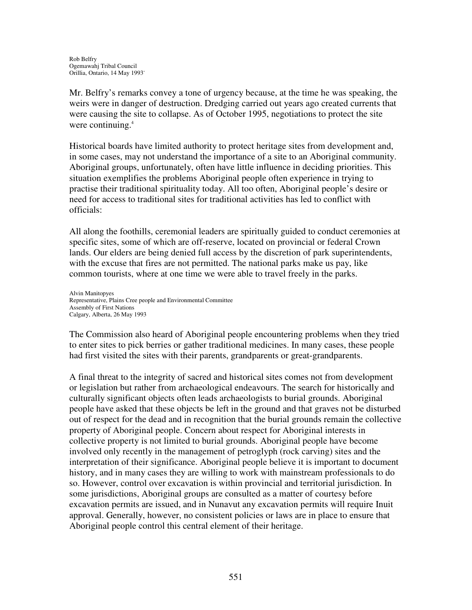Mr. Belfry's remarks convey a tone of urgency because, at the time he was speaking, the weirs were in danger of destruction. Dredging carried out years ago created currents that were causing the site to collapse. As of October 1995, negotiations to protect the site were continuing. 4

Historical boards have limited authority to protect heritage sites from development and, in some cases, may not understand the importance of a site to an Aboriginal community. Aboriginal groups, unfortunately, often have little influence in deciding priorities. This situation exemplifies the problems Aboriginal people often experience in trying to practise their traditional spirituality today. All too often, Aboriginal people's desire or need for access to traditional sites for traditional activities has led to conflict with officials:

All along the foothills, ceremonial leaders are spiritually guided to conduct ceremonies at specific sites, some of which are off-reserve, located on provincial or federal Crown lands. Our elders are being denied full access by the discretion of park superintendents, with the excuse that fires are not permitted. The national parks make us pay, like common tourists, where at one time we were able to travel freely in the parks.

Alvin Manitopyes Representative, Plains Cree people and Environmental Committee Assembly of First Nations Calgary, Alberta, 26 May 1993

The Commission also heard of Aboriginal people encountering problems when they tried to enter sites to pick berries or gather traditional medicines. In many cases, these people had first visited the sites with their parents, grandparents or great-grandparents.

A final threat to the integrity of sacred and historical sites comes not from development or legislation but rather from archaeological endeavours. The search for historically and culturally significant objects often leads archaeologists to burial grounds. Aboriginal people have asked that these objects be left in the ground and that graves not be disturbed out of respect for the dead and in recognition that the burial grounds remain the collective property of Aboriginal people. Concern about respect for Aboriginal interests in collective property is not limited to burial grounds. Aboriginal people have become involved only recently in the management of petroglyph (rock carving) sites and the interpretation of their significance. Aboriginal people believe it is important to document history, and in many cases they are willing to work with mainstream professionals to do so. However, control over excavation is within provincial and territorial jurisdiction. In some jurisdictions, Aboriginal groups are consulted as a matter of courtesy before excavation permits are issued, and in Nunavut any excavation permits will require Inuit approval. Generally, however, no consistent policies or laws are in place to ensure that Aboriginal people control this central element of their heritage.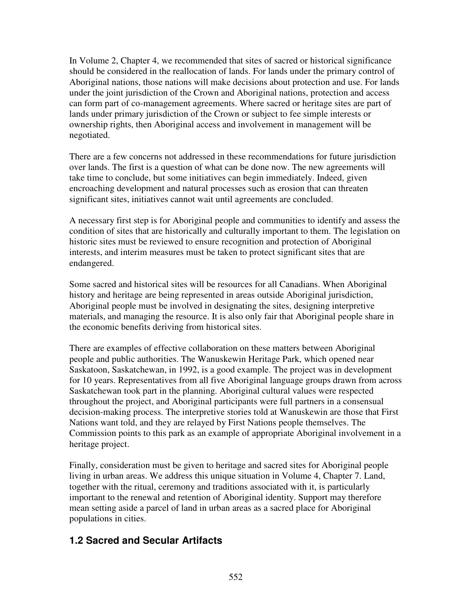In Volume 2, Chapter 4, we recommended that sites of sacred or historical significance should be considered in the reallocation of lands. For lands under the primary control of Aboriginal nations, those nations will make decisions about protection and use. For lands under the joint jurisdiction of the Crown and Aboriginal nations, protection and access can form part of co-management agreements. Where sacred or heritage sites are part of lands under primary jurisdiction of the Crown or subject to fee simple interests or ownership rights, then Aboriginal access and involvement in management will be negotiated.

There are a few concerns not addressed in these recommendations for future jurisdiction over lands. The first is a question of what can be done now. The new agreements will take time to conclude, but some initiatives can begin immediately. Indeed, given encroaching development and natural processes such as erosion that can threaten significant sites, initiatives cannot wait until agreements are concluded.

A necessary first step is for Aboriginal people and communities to identify and assess the condition of sites that are historically and culturally important to them. The legislation on historic sites must be reviewed to ensure recognition and protection of Aboriginal interests, and interim measures must be taken to protect significant sites that are endangered.

Some sacred and historical sites will be resources for all Canadians. When Aboriginal history and heritage are being represented in areas outside Aboriginal jurisdiction, Aboriginal people must be involved in designating the sites, designing interpretive materials, and managing the resource. It is also only fair that Aboriginal people share in the economic benefits deriving from historical sites.

There are examples of effective collaboration on these matters between Aboriginal people and public authorities. The Wanuskewin Heritage Park, which opened near Saskatoon, Saskatchewan, in 1992, is a good example. The project was in development for 10 years. Representatives from all five Aboriginal language groups drawn from across Saskatchewan took part in the planning. Aboriginal cultural values were respected throughout the project, and Aboriginal participants were full partners in a consensual decision-making process. The interpretive stories told at Wanuskewin are those that First Nations want told, and they are relayed by First Nations people themselves. The Commission points to this park as an example of appropriate Aboriginal involvement in a heritage project.

Finally, consideration must be given to heritage and sacred sites for Aboriginal people living in urban areas. We address this unique situation in Volume 4, Chapter 7. Land, together with the ritual, ceremony and traditions associated with it, is particularly important to the renewal and retention of Aboriginal identity. Support may therefore mean setting aside a parcel of land in urban areas as a sacred place for Aboriginal populations in cities.

# **1.2 Sacred and Secular Artifacts**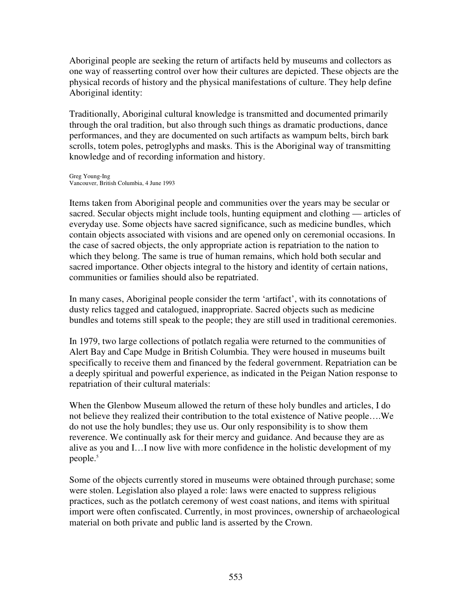Aboriginal people are seeking the return of artifacts held by museums and collectors as one way of reasserting control over how their cultures are depicted. These objects are the physical records of history and the physical manifestations of culture. They help define Aboriginal identity:

Traditionally, Aboriginal cultural knowledge is transmitted and documented primarily through the oral tradition, but also through such things as dramatic productions, dance performances, and they are documented on such artifacts as wampum belts, birch bark scrolls, totem poles, petroglyphs and masks. This is the Aboriginal way of transmitting knowledge and of recording information and history.

Greg Young-Ing Vancouver, British Columbia, 4 June 1993

Items taken from Aboriginal people and communities over the years may be secular or sacred. Secular objects might include tools, hunting equipment and clothing — articles of everyday use. Some objects have sacred significance, such as medicine bundles, which contain objects associated with visions and are opened only on ceremonial occasions. In the case of sacred objects, the only appropriate action is repatriation to the nation to which they belong. The same is true of human remains, which hold both secular and sacred importance. Other objects integral to the history and identity of certain nations, communities or families should also be repatriated.

In many cases, Aboriginal people consider the term 'artifact', with its connotations of dusty relics tagged and catalogued, inappropriate. Sacred objects such as medicine bundles and totems still speak to the people; they are still used in traditional ceremonies.

In 1979, two large collections of potlatch regalia were returned to the communities of Alert Bay and Cape Mudge in British Columbia. They were housed in museums built specifically to receive them and financed by the federal government. Repatriation can be a deeply spiritual and powerful experience, as indicated in the Peigan Nation response to repatriation of their cultural materials:

When the Glenbow Museum allowed the return of these holy bundles and articles, I do not believe they realized their contribution to the total existence of Native people….We do not use the holy bundles; they use us. Our only responsibility is to show them reverence. We continually ask for their mercy and guidance. And because they are as alive as you and I…I now live with more confidence in the holistic development of my people. 5

Some of the objects currently stored in museums were obtained through purchase; some were stolen. Legislation also played a role: laws were enacted to suppress religious practices, such as the potlatch ceremony of west coast nations, and items with spiritual import were often confiscated. Currently, in most provinces, ownership of archaeological material on both private and public land is asserted by the Crown.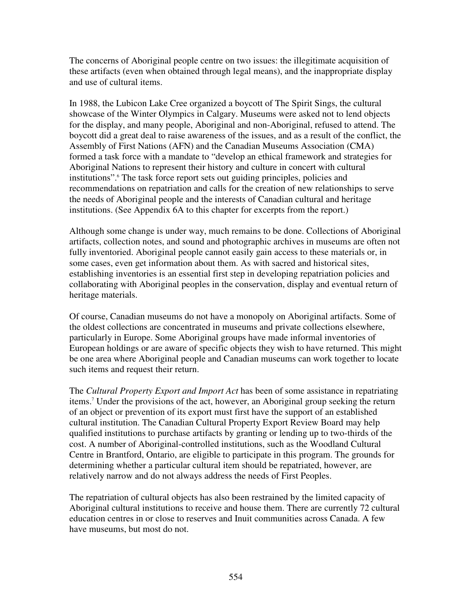The concerns of Aboriginal people centre on two issues: the illegitimate acquisition of these artifacts (even when obtained through legal means), and the inappropriate display and use of cultural items.

In 1988, the Lubicon Lake Cree organized a boycott of The Spirit Sings, the cultural showcase of the Winter Olympics in Calgary. Museums were asked not to lend objects for the display, and many people, Aboriginal and non-Aboriginal, refused to attend. The boycott did a great deal to raise awareness of the issues, and as a result of the conflict, the Assembly of First Nations (AFN) and the Canadian Museums Association (CMA) formed a task force with a mandate to "develop an ethical framework and strategies for Aboriginal Nations to represent their history and culture in concert with cultural institutions". <sup>6</sup> The task force report sets out guiding principles, policies and recommendations on repatriation and calls for the creation of new relationships to serve the needs of Aboriginal people and the interests of Canadian cultural and heritage institutions. (See Appendix 6A to this chapter for excerpts from the report.)

Although some change is under way, much remains to be done. Collections of Aboriginal artifacts, collection notes, and sound and photographic archives in museums are often not fully inventoried. Aboriginal people cannot easily gain access to these materials or, in some cases, even get information about them. As with sacred and historical sites, establishing inventories is an essential first step in developing repatriation policies and collaborating with Aboriginal peoples in the conservation, display and eventual return of heritage materials.

Of course, Canadian museums do not have a monopoly on Aboriginal artifacts. Some of the oldest collections are concentrated in museums and private collections elsewhere, particularly in Europe. Some Aboriginal groups have made informal inventories of European holdings or are aware of specific objects they wish to have returned. This might be one area where Aboriginal people and Canadian museums can work together to locate such items and request their return.

The *Cultural Property Export and Import Act* has been of some assistance in repatriating items. <sup>7</sup> Under the provisions of the act, however, an Aboriginal group seeking the return of an object or prevention of its export must first have the support of an established cultural institution. The Canadian Cultural Property Export Review Board may help qualified institutions to purchase artifacts by granting or lending up to two-thirds of the cost. A number of Aboriginal-controlled institutions, such as the Woodland Cultural Centre in Brantford, Ontario, are eligible to participate in this program. The grounds for determining whether a particular cultural item should be repatriated, however, are relatively narrow and do not always address the needs of First Peoples.

The repatriation of cultural objects has also been restrained by the limited capacity of Aboriginal cultural institutions to receive and house them. There are currently 72 cultural education centres in or close to reserves and Inuit communities across Canada. A few have museums, but most do not.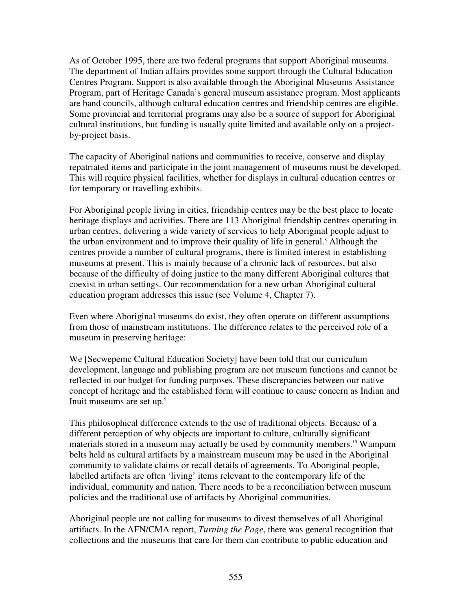As of October 1995, there are two federal programs that support Aboriginal museums. The department of Indian affairs provides some support through the Cultural Education Centres Program. Support is also available through the Aboriginal Museums Assistance Program, part of Heritage Canada's general museum assistance program. Most applicants are band councils, although cultural education centres and friendship centres are eligible. Some provincial and territorial programs may also be a source of support for Aboriginal cultural institutions, but funding is usually quite limited and available only on a projectby-project basis.

The capacity of Aboriginal nations and communities to receive, conserve and display repatriated items and participate in the joint management of museums must be developed. This will require physical facilities, whether for displays in cultural education centres or for temporary or travelling exhibits.

For Aboriginal people living in cities, friendship centres may be the best place to locate heritage displays and activities. There are 113 Aboriginal friendship centres operating in urban centres, delivering a wide variety of services to help Aboriginal people adjust to the urban environment and to improve their quality of life in general. <sup>8</sup> Although the centres provide a number of cultural programs, there is limited interest in establishing museums at present. This is mainly because of a chronic lack of resources, but also because of the difficulty of doing justice to the many different Aboriginal cultures that coexist in urban settings. Our recommendation for a new urban Aboriginal cultural education program addresses this issue (see Volume 4, Chapter 7).

Even where Aboriginal museums do exist, they often operate on different assumptions from those of mainstream institutions. The difference relates to the perceived role of a museum in preserving heritage:

We [Secwepemc Cultural Education Society] have been told that our curriculum development, language and publishing program are not museum functions and cannot be reflected in our budget for funding purposes. These discrepancies between our native concept of heritage and the established form will continue to cause concern as Indian and Inuit museums are set up.<sup>9</sup>

This philosophical difference extends to the use of traditional objects. Because of a different perception of why objects are important to culture, culturally significant materials stored in a museum may actually be used by community members. <sup>10</sup> Wampum belts held as cultural artifacts by a mainstream museum may be used in the Aboriginal community to validate claims or recall details of agreements. To Aboriginal people, labelled artifacts are often 'living' items relevant to the contemporary life of the individual, community and nation. There needs to be a reconciliation between museum policies and the traditional use of artifacts by Aboriginal communities.

Aboriginal people are not calling for museums to divest themselves of all Aboriginal artifacts. In the AFN/CMA report, *Turning the Page*, there was general recognition that collections and the museums that care for them can contribute to public education and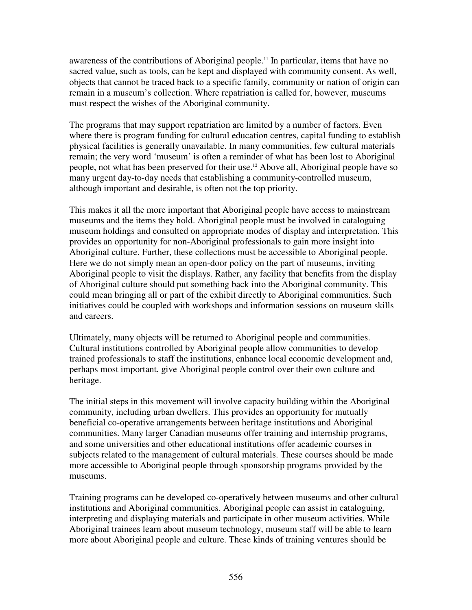awareness of the contributions of Aboriginal people. 11 In particular, items that have no sacred value, such as tools, can be kept and displayed with community consent. As well, objects that cannot be traced back to a specific family, community or nation of origin can remain in a museum's collection. Where repatriation is called for, however, museums must respect the wishes of the Aboriginal community.

The programs that may support repatriation are limited by a number of factors. Even where there is program funding for cultural education centres, capital funding to establish physical facilities is generally unavailable. In many communities, few cultural materials remain; the very word 'museum' is often a reminder of what has been lost to Aboriginal people, not what has been preserved for their use. <sup>12</sup> Above all, Aboriginal people have so many urgent day-to-day needs that establishing a community-controlled museum, although important and desirable, is often not the top priority.

This makes it all the more important that Aboriginal people have access to mainstream museums and the items they hold. Aboriginal people must be involved in cataloguing museum holdings and consulted on appropriate modes of display and interpretation. This provides an opportunity for non-Aboriginal professionals to gain more insight into Aboriginal culture. Further, these collections must be accessible to Aboriginal people. Here we do not simply mean an open-door policy on the part of museums, inviting Aboriginal people to visit the displays. Rather, any facility that benefits from the display of Aboriginal culture should put something back into the Aboriginal community. This could mean bringing all or part of the exhibit directly to Aboriginal communities. Such initiatives could be coupled with workshops and information sessions on museum skills and careers.

Ultimately, many objects will be returned to Aboriginal people and communities. Cultural institutions controlled by Aboriginal people allow communities to develop trained professionals to staff the institutions, enhance local economic development and, perhaps most important, give Aboriginal people control over their own culture and heritage.

The initial steps in this movement will involve capacity building within the Aboriginal community, including urban dwellers. This provides an opportunity for mutually beneficial co-operative arrangements between heritage institutions and Aboriginal communities. Many larger Canadian museums offer training and internship programs, and some universities and other educational institutions offer academic courses in subjects related to the management of cultural materials. These courses should be made more accessible to Aboriginal people through sponsorship programs provided by the museums.

Training programs can be developed co-operatively between museums and other cultural institutions and Aboriginal communities. Aboriginal people can assist in cataloguing, interpreting and displaying materials and participate in other museum activities. While Aboriginal trainees learn about museum technology, museum staff will be able to learn more about Aboriginal people and culture. These kinds of training ventures should be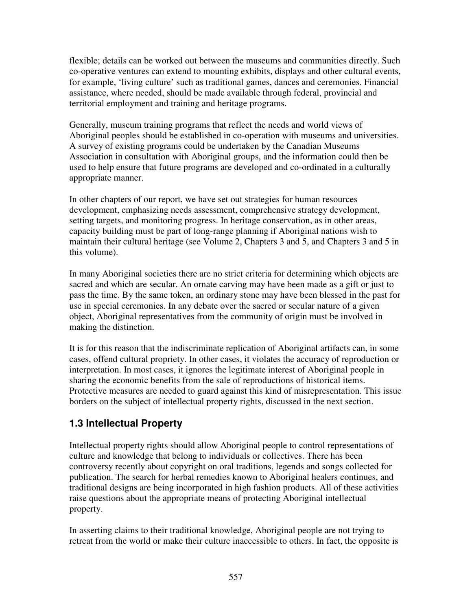flexible; details can be worked out between the museums and communities directly. Such co-operative ventures can extend to mounting exhibits, displays and other cultural events, for example, 'living culture' such as traditional games, dances and ceremonies. Financial assistance, where needed, should be made available through federal, provincial and territorial employment and training and heritage programs.

Generally, museum training programs that reflect the needs and world views of Aboriginal peoples should be established in co-operation with museums and universities. A survey of existing programs could be undertaken by the Canadian Museums Association in consultation with Aboriginal groups, and the information could then be used to help ensure that future programs are developed and co-ordinated in a culturally appropriate manner.

In other chapters of our report, we have set out strategies for human resources development, emphasizing needs assessment, comprehensive strategy development, setting targets, and monitoring progress. In heritage conservation, as in other areas, capacity building must be part of long-range planning if Aboriginal nations wish to maintain their cultural heritage (see Volume 2, Chapters 3 and 5, and Chapters 3 and 5 in this volume).

In many Aboriginal societies there are no strict criteria for determining which objects are sacred and which are secular. An ornate carving may have been made as a gift or just to pass the time. By the same token, an ordinary stone may have been blessed in the past for use in special ceremonies. In any debate over the sacred or secular nature of a given object, Aboriginal representatives from the community of origin must be involved in making the distinction.

It is for this reason that the indiscriminate replication of Aboriginal artifacts can, in some cases, offend cultural propriety. In other cases, it violates the accuracy of reproduction or interpretation. In most cases, it ignores the legitimate interest of Aboriginal people in sharing the economic benefits from the sale of reproductions of historical items. Protective measures are needed to guard against this kind of misrepresentation. This issue borders on the subject of intellectual property rights, discussed in the next section.

# **1.3 Intellectual Property**

Intellectual property rights should allow Aboriginal people to control representations of culture and knowledge that belong to individuals or collectives. There has been controversy recently about copyright on oral traditions, legends and songs collected for publication. The search for herbal remedies known to Aboriginal healers continues, and traditional designs are being incorporated in high fashion products. All of these activities raise questions about the appropriate means of protecting Aboriginal intellectual property.

In asserting claims to their traditional knowledge, Aboriginal people are not trying to retreat from the world or make their culture inaccessible to others. In fact, the opposite is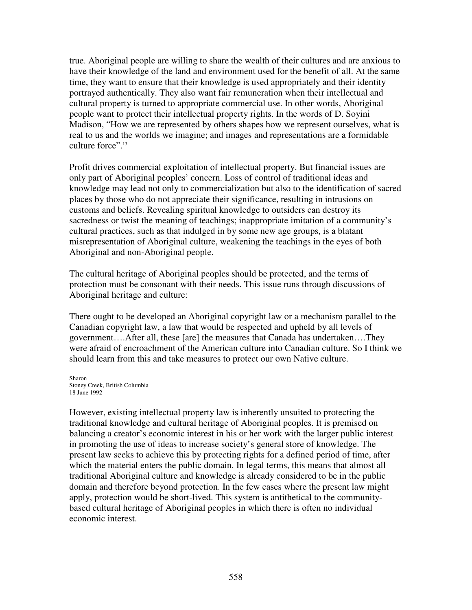true. Aboriginal people are willing to share the wealth of their cultures and are anxious to have their knowledge of the land and environment used for the benefit of all. At the same time, they want to ensure that their knowledge is used appropriately and their identity portrayed authentically. They also want fair remuneration when their intellectual and cultural property is turned to appropriate commercial use. In other words, Aboriginal people want to protect their intellectual property rights. In the words of D. Soyini Madison, "How we are represented by others shapes how we represent ourselves, what is real to us and the worlds we imagine; and images and representations are a formidable culture force". 13

Profit drives commercial exploitation of intellectual property. But financial issues are only part of Aboriginal peoples' concern. Loss of control of traditional ideas and knowledge may lead not only to commercialization but also to the identification of sacred places by those who do not appreciate their significance, resulting in intrusions on customs and beliefs. Revealing spiritual knowledge to outsiders can destroy its sacredness or twist the meaning of teachings; inappropriate imitation of a community's cultural practices, such as that indulged in by some new age groups, is a blatant misrepresentation of Aboriginal culture, weakening the teachings in the eyes of both Aboriginal and non-Aboriginal people.

The cultural heritage of Aboriginal peoples should be protected, and the terms of protection must be consonant with their needs. This issue runs through discussions of Aboriginal heritage and culture:

There ought to be developed an Aboriginal copyright law or a mechanism parallel to the Canadian copyright law, a law that would be respected and upheld by all levels of government….After all, these [are] the measures that Canada has undertaken….They were afraid of encroachment of the American culture into Canadian culture. So I think we should learn from this and take measures to protect our own Native culture.

Sharon Stoney Creek, British Columbia 18 June 1992

However, existing intellectual property law is inherently unsuited to protecting the traditional knowledge and cultural heritage of Aboriginal peoples. It is premised on balancing a creator's economic interest in his or her work with the larger public interest in promoting the use of ideas to increase society's general store of knowledge. The present law seeks to achieve this by protecting rights for a defined period of time, after which the material enters the public domain. In legal terms, this means that almost all traditional Aboriginal culture and knowledge is already considered to be in the public domain and therefore beyond protection. In the few cases where the present law might apply, protection would be short-lived. This system is antithetical to the communitybased cultural heritage of Aboriginal peoples in which there is often no individual economic interest.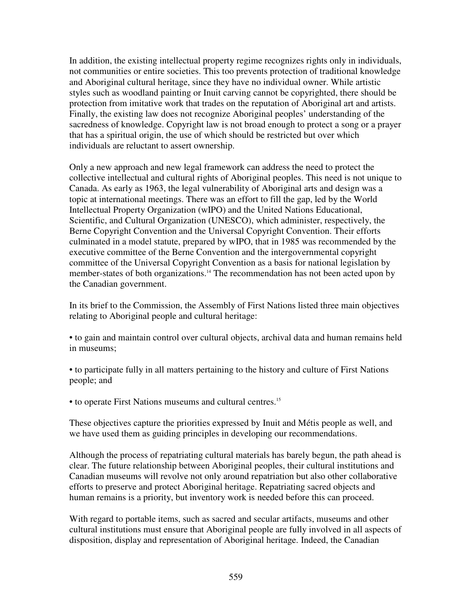In addition, the existing intellectual property regime recognizes rights only in individuals, not communities or entire societies. This too prevents protection of traditional knowledge and Aboriginal cultural heritage, since they have no individual owner. While artistic styles such as woodland painting or Inuit carving cannot be copyrighted, there should be protection from imitative work that trades on the reputation of Aboriginal art and artists. Finally, the existing law does not recognize Aboriginal peoples' understanding of the sacredness of knowledge. Copyright law is not broad enough to protect a song or a prayer that has a spiritual origin, the use of which should be restricted but over which individuals are reluctant to assert ownership.

Only a new approach and new legal framework can address the need to protect the collective intellectual and cultural rights of Aboriginal peoples. This need is not unique to Canada. As early as 1963, the legal vulnerability of Aboriginal arts and design was a topic at international meetings. There was an effort to fill the gap, led by the World Intellectual Property Organization (wIPO) and the United Nations Educational, Scientific, and Cultural Organization (UNESCO), which administer, respectively, the Berne Copyright Convention and the Universal Copyright Convention. Their efforts culminated in a model statute, prepared by wIPO, that in 1985 was recommended by the executive committee of the Berne Convention and the intergovernmental copyright committee of the Universal Copyright Convention as a basis for national legislation by member-states of both organizations.<sup>14</sup> The recommendation has not been acted upon by the Canadian government.

In its brief to the Commission, the Assembly of First Nations listed three main objectives relating to Aboriginal people and cultural heritage:

• to gain and maintain control over cultural objects, archival data and human remains held in museums;

• to participate fully in all matters pertaining to the history and culture of First Nations people; and

• to operate First Nations museums and cultural centres. 15

These objectives capture the priorities expressed by Inuit and Métis people as well, and we have used them as guiding principles in developing our recommendations.

Although the process of repatriating cultural materials has barely begun, the path ahead is clear. The future relationship between Aboriginal peoples, their cultural institutions and Canadian museums will revolve not only around repatriation but also other collaborative efforts to preserve and protect Aboriginal heritage. Repatriating sacred objects and human remains is a priority, but inventory work is needed before this can proceed.

With regard to portable items, such as sacred and secular artifacts, museums and other cultural institutions must ensure that Aboriginal people are fully involved in all aspects of disposition, display and representation of Aboriginal heritage. Indeed, the Canadian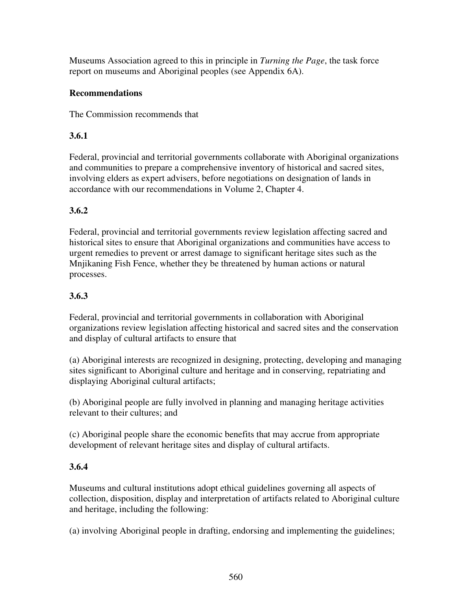Museums Association agreed to this in principle in *Turning the Page*, the task force report on museums and Aboriginal peoples (see Appendix 6A).

# **Recommendations**

The Commission recommends that

# **3.6.1**

Federal, provincial and territorial governments collaborate with Aboriginal organizations and communities to prepare a comprehensive inventory of historical and sacred sites, involving elders as expert advisers, before negotiations on designation of lands in accordance with our recommendations in Volume 2, Chapter 4.

# **3.6.2**

Federal, provincial and territorial governments review legislation affecting sacred and historical sites to ensure that Aboriginal organizations and communities have access to urgent remedies to prevent or arrest damage to significant heritage sites such as the Mnjikaning Fish Fence, whether they be threatened by human actions or natural processes.

# **3.6.3**

Federal, provincial and territorial governments in collaboration with Aboriginal organizations review legislation affecting historical and sacred sites and the conservation and display of cultural artifacts to ensure that

(a) Aboriginal interests are recognized in designing, protecting, developing and managing sites significant to Aboriginal culture and heritage and in conserving, repatriating and displaying Aboriginal cultural artifacts;

(b) Aboriginal people are fully involved in planning and managing heritage activities relevant to their cultures; and

(c) Aboriginal people share the economic benefits that may accrue from appropriate development of relevant heritage sites and display of cultural artifacts.

# **3.6.4**

Museums and cultural institutions adopt ethical guidelines governing all aspects of collection, disposition, display and interpretation of artifacts related to Aboriginal culture and heritage, including the following:

(a) involving Aboriginal people in drafting, endorsing and implementing the guidelines;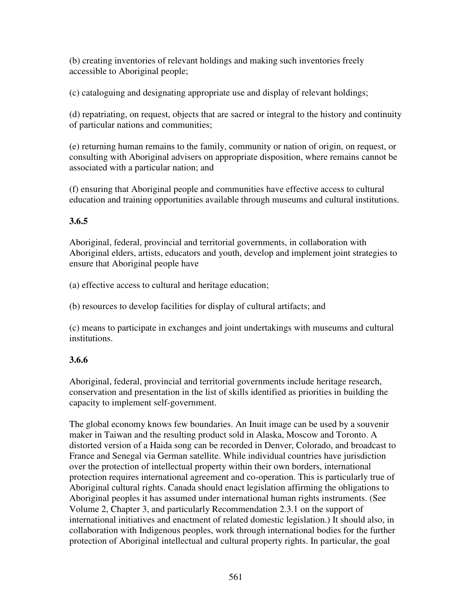(b) creating inventories of relevant holdings and making such inventories freely accessible to Aboriginal people;

(c) cataloguing and designating appropriate use and display of relevant holdings;

(d) repatriating, on request, objects that are sacred or integral to the history and continuity of particular nations and communities;

(e) returning human remains to the family, community or nation of origin, on request, or consulting with Aboriginal advisers on appropriate disposition, where remains cannot be associated with a particular nation; and

(f) ensuring that Aboriginal people and communities have effective access to cultural education and training opportunities available through museums and cultural institutions.

# **3.6.5**

Aboriginal, federal, provincial and territorial governments, in collaboration with Aboriginal elders, artists, educators and youth, develop and implement joint strategies to ensure that Aboriginal people have

(a) effective access to cultural and heritage education;

(b) resources to develop facilities for display of cultural artifacts; and

(c) means to participate in exchanges and joint undertakings with museums and cultural institutions.

# **3.6.6**

Aboriginal, federal, provincial and territorial governments include heritage research, conservation and presentation in the list of skills identified as priorities in building the capacity to implement self-government.

The global economy knows few boundaries. An Inuit image can be used by a souvenir maker in Taiwan and the resulting product sold in Alaska, Moscow and Toronto. A distorted version of a Haida song can be recorded in Denver, Colorado, and broadcast to France and Senegal via German satellite. While individual countries have jurisdiction over the protection of intellectual property within their own borders, international protection requires international agreement and co-operation. This is particularly true of Aboriginal cultural rights. Canada should enact legislation affirming the obligations to Aboriginal peoples it has assumed under international human rights instruments. (See Volume 2, Chapter 3, and particularly Recommendation 2.3.1 on the support of international initiatives and enactment of related domestic legislation.) It should also, in collaboration with Indigenous peoples, work through international bodies for the further protection of Aboriginal intellectual and cultural property rights. In particular, the goal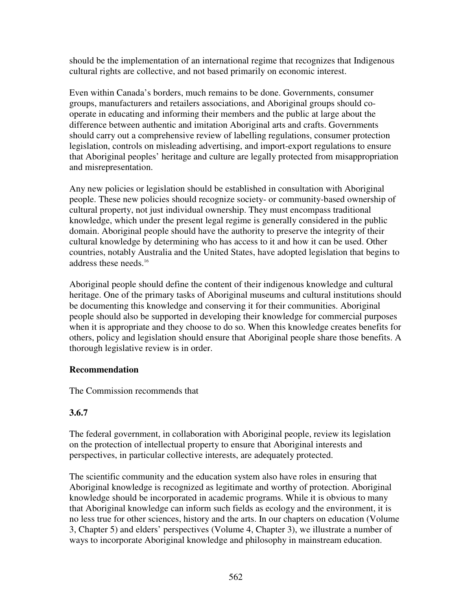should be the implementation of an international regime that recognizes that Indigenous cultural rights are collective, and not based primarily on economic interest.

Even within Canada's borders, much remains to be done. Governments, consumer groups, manufacturers and retailers associations, and Aboriginal groups should cooperate in educating and informing their members and the public at large about the difference between authentic and imitation Aboriginal arts and crafts. Governments should carry out a comprehensive review of labelling regulations, consumer protection legislation, controls on misleading advertising, and import-export regulations to ensure that Aboriginal peoples' heritage and culture are legally protected from misappropriation and misrepresentation.

Any new policies or legislation should be established in consultation with Aboriginal people. These new policies should recognize society- or community-based ownership of cultural property, not just individual ownership. They must encompass traditional knowledge, which under the present legal regime is generally considered in the public domain. Aboriginal people should have the authority to preserve the integrity of their cultural knowledge by determining who has access to it and how it can be used. Other countries, notably Australia and the United States, have adopted legislation that begins to address these needs. 16

Aboriginal people should define the content of their indigenous knowledge and cultural heritage. One of the primary tasks of Aboriginal museums and cultural institutions should be documenting this knowledge and conserving it for their communities. Aboriginal people should also be supported in developing their knowledge for commercial purposes when it is appropriate and they choose to do so. When this knowledge creates benefits for others, policy and legislation should ensure that Aboriginal people share those benefits. A thorough legislative review is in order.

#### **Recommendation**

The Commission recommends that

# **3.6.7**

The federal government, in collaboration with Aboriginal people, review its legislation on the protection of intellectual property to ensure that Aboriginal interests and perspectives, in particular collective interests, are adequately protected.

The scientific community and the education system also have roles in ensuring that Aboriginal knowledge is recognized as legitimate and worthy of protection. Aboriginal knowledge should be incorporated in academic programs. While it is obvious to many that Aboriginal knowledge can inform such fields as ecology and the environment, it is no less true for other sciences, history and the arts. In our chapters on education (Volume 3, Chapter 5) and elders' perspectives (Volume 4, Chapter 3), we illustrate a number of ways to incorporate Aboriginal knowledge and philosophy in mainstream education.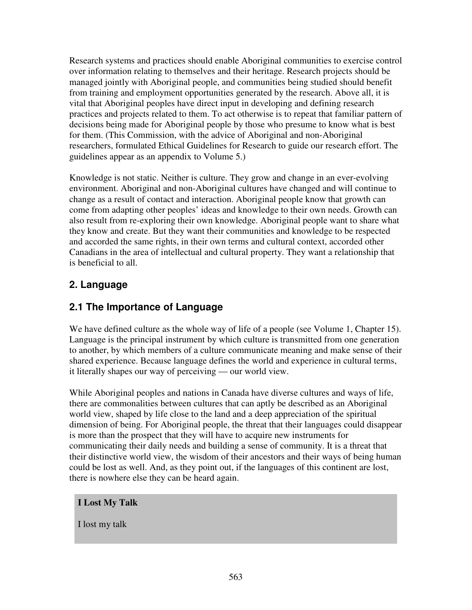Research systems and practices should enable Aboriginal communities to exercise control over information relating to themselves and their heritage. Research projects should be managed jointly with Aboriginal people, and communities being studied should benefit from training and employment opportunities generated by the research. Above all, it is vital that Aboriginal peoples have direct input in developing and defining research practices and projects related to them. To act otherwise is to repeat that familiar pattern of decisions being made for Aboriginal people by those who presume to know what is best for them. (This Commission, with the advice of Aboriginal and non-Aboriginal researchers, formulated Ethical Guidelines for Research to guide our research effort. The guidelines appear as an appendix to Volume 5.)

Knowledge is not static. Neither is culture. They grow and change in an ever-evolving environment. Aboriginal and non-Aboriginal cultures have changed and will continue to change as a result of contact and interaction. Aboriginal people know that growth can come from adapting other peoples' ideas and knowledge to their own needs. Growth can also result from re-exploring their own knowledge. Aboriginal people want to share what they know and create. But they want their communities and knowledge to be respected and accorded the same rights, in their own terms and cultural context, accorded other Canadians in the area of intellectual and cultural property. They want a relationship that is beneficial to all.

# **2. Language**

# **2.1 The Importance of Language**

We have defined culture as the whole way of life of a people (see Volume 1, Chapter 15). Language is the principal instrument by which culture is transmitted from one generation to another, by which members of a culture communicate meaning and make sense of their shared experience. Because language defines the world and experience in cultural terms, it literally shapes our way of perceiving — our world view.

While Aboriginal peoples and nations in Canada have diverse cultures and ways of life, there are commonalities between cultures that can aptly be described as an Aboriginal world view, shaped by life close to the land and a deep appreciation of the spiritual dimension of being. For Aboriginal people, the threat that their languages could disappear is more than the prospect that they will have to acquire new instruments for communicating their daily needs and building a sense of community. It is a threat that their distinctive world view, the wisdom of their ancestors and their ways of being human could be lost as well. And, as they point out, if the languages of this continent are lost, there is nowhere else they can be heard again.

#### **I Lost My Talk**

I lost my talk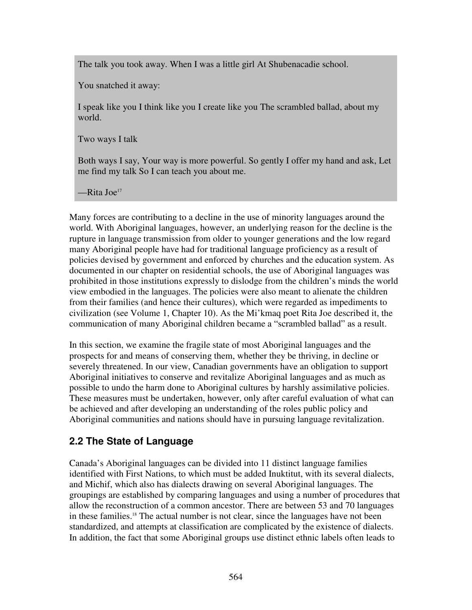The talk you took away. When I was a little girl At Shubenacadie school.

You snatched it away:

I speak like you I think like you I create like you The scrambled ballad, about my world.

Two ways I talk

Both ways I say, Your way is more powerful. So gently I offer my hand and ask, Let me find my talk So I can teach you about me.

—Rita Joe 17

Many forces are contributing to a decline in the use of minority languages around the world. With Aboriginal languages, however, an underlying reason for the decline is the rupture in language transmission from older to younger generations and the low regard many Aboriginal people have had for traditional language proficiency as a result of policies devised by government and enforced by churches and the education system. As documented in our chapter on residential schools, the use of Aboriginal languages was prohibited in those institutions expressly to dislodge from the children's minds the world view embodied in the languages. The policies were also meant to alienate the children from their families (and hence their cultures), which were regarded as impediments to civilization (see Volume 1, Chapter 10). As the Mi'kmaq poet Rita Joe described it, the communication of many Aboriginal children became a "scrambled ballad" as a result.

In this section, we examine the fragile state of most Aboriginal languages and the prospects for and means of conserving them, whether they be thriving, in decline or severely threatened. In our view, Canadian governments have an obligation to support Aboriginal initiatives to conserve and revitalize Aboriginal languages and as much as possible to undo the harm done to Aboriginal cultures by harshly assimilative policies. These measures must be undertaken, however, only after careful evaluation of what can be achieved and after developing an understanding of the roles public policy and Aboriginal communities and nations should have in pursuing language revitalization.

# **2.2 The State of Language**

Canada's Aboriginal languages can be divided into 11 distinct language families identified with First Nations, to which must be added Inuktitut, with its several dialects, and Michif, which also has dialects drawing on several Aboriginal languages. The groupings are established by comparing languages and using a number of procedures that allow the reconstruction of a common ancestor. There are between 53 and 70 languages in these families.<sup>18</sup> The actual number is not clear, since the languages have not been standardized, and attempts at classification are complicated by the existence of dialects. In addition, the fact that some Aboriginal groups use distinct ethnic labels often leads to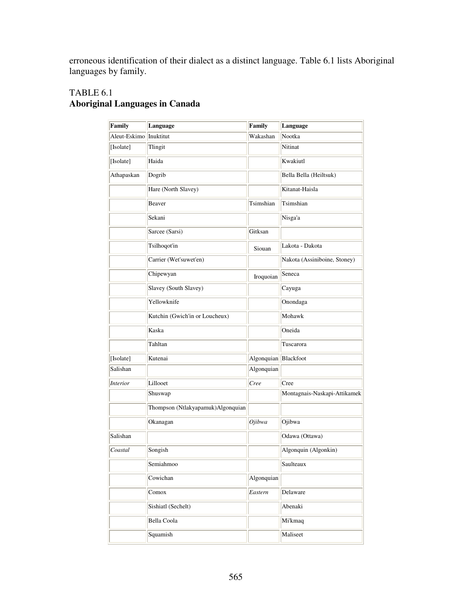erroneous identification of their dialect as a distinct language. Table 6.1 lists Aboriginal languages by family.

# TABLE 6.1 **Aboriginal Languages in Canada**

| Family                 | Language                          | Family               | Language                     |
|------------------------|-----------------------------------|----------------------|------------------------------|
| Aleut-Eskimo Inuktitut |                                   | Wakashan             | Nootka                       |
| [Isolate]              | Tlingit                           |                      | Nitinat                      |
| [Isolate]              | Haida                             |                      | Kwakiutl                     |
| Athapaskan             | Dogrib                            |                      | Bella Bella (Heiltsuk)       |
|                        | Hare (North Slavey)               |                      | Kitanat-Haisla               |
|                        | Beaver                            | Tsimshian            | Tsimshian                    |
|                        | Sekani                            |                      | Nisga'a                      |
|                        | Sarcee (Sarsi)                    | Gitksan              |                              |
|                        | Tsilhoqot'in                      | Siouan               | Lakota - Dakota              |
|                        | Carrier (Wet'suwet'en)            |                      | Nakota (Assiniboine, Stoney) |
|                        | Chipewyan                         | Iroquoian            | Seneca                       |
|                        | Slavey (South Slavey)             |                      | Cayuga                       |
|                        | Yellowknife                       |                      | Onondaga                     |
|                        | Kutchin (Gwich'in or Loucheux)    |                      | Mohawk                       |
|                        | Kaska                             |                      | Oneida                       |
|                        | Tahltan                           |                      | Tuscarora                    |
| [Isolate]              | Kutenai                           | Algonquian Blackfoot |                              |
| Salishan               |                                   | Algonquian           |                              |
| <i>Interior</i>        | Lillooet                          | Cree                 | Cree                         |
|                        | Shuswap                           |                      | Montagnais-Naskapi-Attikamek |
|                        | Thompson (Ntlakyapamuk)Algonquian |                      |                              |
|                        | Okanagan                          | Ojibwa               | Ojibwa                       |
| Salishan               |                                   |                      | Odawa (Ottawa)               |
| Coastal                | Songish                           |                      | Algonquin (Algonkin)         |
|                        | Semiahmoo                         |                      | Saulteaux                    |
|                        | Cowichan                          | Algonquian           |                              |
|                        | $\overline{\text{Comox}}$         | Eastern              | Delaware                     |
|                        | Sishiatl (Sechelt)                |                      | Abenaki                      |
|                        | Bella Coola                       |                      | Mi'kmaq                      |
|                        | Squamish                          |                      | Maliseet                     |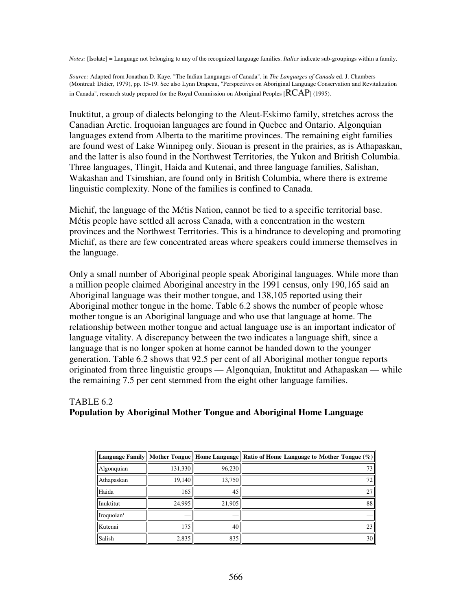*Notes:* [Isolate] = Language not belonging to any of the recognized language families. *Italics* indicate sub-groupings within a family.

*Source:* Adapted from Jonathan D. Kaye. "The Indian Languages of Canada", in *The Languages of Canada* ed. J. Chambers (Montreal: Didier, 1979), pp. 15-19. See also Lynn Drapeau, "Perspectives on Aboriginal Language Conservation and Revitalization in Canada", research study prepared for the Royal Commission on Aboriginal Peoples  $[RCAP]$  (1995).

Inuktitut, a group of dialects belonging to the Aleut-Eskimo family, stretches across the Canadian Arctic. Iroquoian languages are found in Quebec and Ontario. Algonquian languages extend from Alberta to the maritime provinces. The remaining eight families are found west of Lake Winnipeg only. Siouan is present in the prairies, as is Athapaskan, and the latter is also found in the Northwest Territories, the Yukon and British Columbia. Three languages, Tlingit, Haida and Kutenai, and three language families, Salishan, Wakashan and Tsimshian, are found only in British Columbia, where there is extreme linguistic complexity. None of the families is confined to Canada.

Michif, the language of the Métis Nation, cannot be tied to a specific territorial base. Métis people have settled all across Canada, with a concentration in the western provinces and the Northwest Territories. This is a hindrance to developing and promoting Michif, as there are few concentrated areas where speakers could immerse themselves in the language.

Only a small number of Aboriginal people speak Aboriginal languages. While more than a million people claimed Aboriginal ancestry in the 1991 census, only 190,165 said an Aboriginal language was their mother tongue, and 138,105 reported using their Aboriginal mother tongue in the home. Table 6.2 shows the number of people whose mother tongue is an Aboriginal language and who use that language at home. The relationship between mother tongue and actual language use is an important indicator of language vitality. A discrepancy between the two indicates a language shift, since a language that is no longer spoken at home cannot be handed down to the younger generation. Table 6.2 shows that 92.5 per cent of all Aboriginal mother tongue reports originated from three linguistic groups — Algonquian, Inuktitut and Athapaskan — while the remaining 7.5 per cent stemmed from the eight other language families.

#### TABLE 6.2

#### **Population by Aboriginal Mother Tongue and Aboriginal Home Language**

|                        |         |        | <b>Language Family</b> Mother Tongue   Home Language   Ratio of Home Language to Mother Tongue $(\%)$ |
|------------------------|---------|--------|-------------------------------------------------------------------------------------------------------|
| <b>Algonquian</b>      | 131,330 | 96,230 | 73.                                                                                                   |
| Athapaskan             | 19,140  | 13,750 | 72 <sub>1</sub>                                                                                       |
| Haida                  | 165     | 45     | 27                                                                                                    |
| Inuktitut              | 24,995  | 21,905 | 88                                                                                                    |
| Iroquoian <sup>1</sup> |         |        |                                                                                                       |
| Kutenai                | 175     | 401    | 23                                                                                                    |
| Salish                 | 2,835   | 835    | 30                                                                                                    |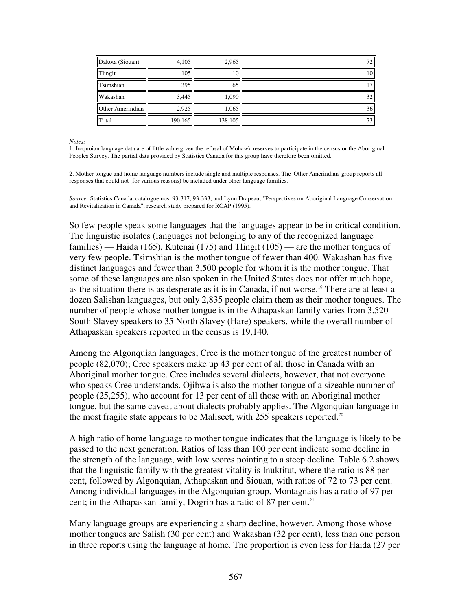| Dakota (Siouan)         | 4,105   | 2,965   |    |
|-------------------------|---------|---------|----|
| Tlingit                 | 105     | 101     |    |
| Tsimshian               | 395     | 65      |    |
| Wakashan                | 3,445   | 1,090   | 32 |
| <b>Other Amerindian</b> | 2,925   | 1,065   | 36 |
| Total                   | 190,165 | 138,105 | 73 |

*Notes:*

1. Iroquoian language data are of little value given the refusal of Mohawk reserves to participate in the census or the Aboriginal Peoples Survey. The partial data provided by Statistics Canada for this group have therefore been omitted.

2. Mother tongue and home language numbers include single and multiple responses. The 'Other Amerindian'group reports all responses that could not (for various reasons) be included under other language families.

*Source:* Statistics Canada, catalogue nos. 93-317, 93-333; and Lynn Drapeau, "Perspectives on Aboriginal Language Conservation and Revitalization in Canada", research study prepared for RCAP (1995).

So few people speak some languages that the languages appear to be in critical condition. The linguistic isolates (languages not belonging to any of the recognized language families) — Haida (165), Kutenai (175) and Tlingit (105) — are the mother tongues of very few people. Tsimshian is the mother tongue of fewer than 400. Wakashan has five distinct languages and fewer than 3,500 people for whom it is the mother tongue. That some of these languages are also spoken in the United States does not offer much hope, as the situation there is as desperate as it is in Canada, if not worse. <sup>19</sup> There are at least a dozen Salishan languages, but only 2,835 people claim them as their mother tongues. The number of people whose mother tongue is in the Athapaskan family varies from 3,520 South Slavey speakers to 35 North Slavey (Hare) speakers, while the overall number of Athapaskan speakers reported in the census is 19,140.

Among the Algonquian languages, Cree is the mother tongue of the greatest number of people (82,070); Cree speakers make up 43 per cent of all those in Canada with an Aboriginal mother tongue. Cree includes several dialects, however, that not everyone who speaks Cree understands. Ojibwa is also the mother tongue of a sizeable number of people (25,255), who account for 13 per cent of all those with an Aboriginal mother tongue, but the same caveat about dialects probably applies. The Algonquian language in the most fragile state appears to be Maliseet, with 255 speakers reported.<sup>20</sup>

A high ratio of home language to mother tongue indicates that the language is likely to be passed to the next generation. Ratios of less than 100 per cent indicate some decline in the strength of the language, with low scores pointing to a steep decline. Table 6.2 shows that the linguistic family with the greatest vitality is Inuktitut, where the ratio is 88 per cent, followed by Algonquian, Athapaskan and Siouan, with ratios of 72 to 73 per cent. Among individual languages in the Algonquian group, Montagnais has a ratio of 97 per cent; in the Athapaskan family, Dogrib has a ratio of 87 per cent.<sup>21</sup>

Many language groups are experiencing a sharp decline, however. Among those whose mother tongues are Salish (30 per cent) and Wakashan (32 per cent), less than one person in three reports using the language at home. The proportion is even less for Haida (27 per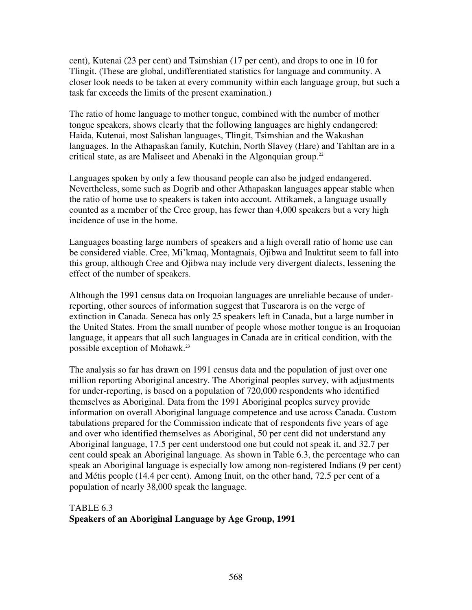cent), Kutenai (23 per cent) and Tsimshian (17 per cent), and drops to one in 10 for Tlingit. (These are global, undifferentiated statistics for language and community. A closer look needs to be taken at every community within each language group, but such a task far exceeds the limits of the present examination.)

The ratio of home language to mother tongue, combined with the number of mother tongue speakers, shows clearly that the following languages are highly endangered: Haida, Kutenai, most Salishan languages, Tlingit, Tsimshian and the Wakashan languages. In the Athapaskan family, Kutchin, North Slavey (Hare) and Tahltan are in a critical state, as are Maliseet and Abenaki in the Algonquian group.<sup>22</sup>

Languages spoken by only a few thousand people can also be judged endangered. Nevertheless, some such as Dogrib and other Athapaskan languages appear stable when the ratio of home use to speakers is taken into account. Attikamek, a language usually counted as a member of the Cree group, has fewer than 4,000 speakers but a very high incidence of use in the home.

Languages boasting large numbers of speakers and a high overall ratio of home use can be considered viable. Cree, Mi'kmaq, Montagnais, Ojibwa and Inuktitut seem to fall into this group, although Cree and Ojibwa may include very divergent dialects, lessening the effect of the number of speakers.

Although the 1991 census data on Iroquoian languages are unreliable because of underreporting, other sources of information suggest that Tuscarora is on the verge of extinction in Canada. Seneca has only 25 speakers left in Canada, but a large number in the United States. From the small number of people whose mother tongue is an Iroquoian language, it appears that all such languages in Canada are in critical condition, with the possible exception of Mohawk. 23

The analysis so far has drawn on 1991 census data and the population of just over one million reporting Aboriginal ancestry. The Aboriginal peoples survey, with adjustments for under-reporting, is based on a population of 720,000 respondents who identified themselves as Aboriginal. Data from the 1991 Aboriginal peoples survey provide information on overall Aboriginal language competence and use across Canada. Custom tabulations prepared for the Commission indicate that of respondents five years of age and over who identified themselves as Aboriginal, 50 per cent did not understand any Aboriginal language, 17.5 per cent understood one but could not speak it, and 32.7 per cent could speak an Aboriginal language. As shown in Table 6.3, the percentage who can speak an Aboriginal language is especially low among non-registered Indians (9 per cent) and Métis people (14.4 per cent). Among Inuit, on the other hand, 72.5 per cent of a population of nearly 38,000 speak the language.

# TABLE 6.3 **Speakers of an Aboriginal Language by Age Group, 1991**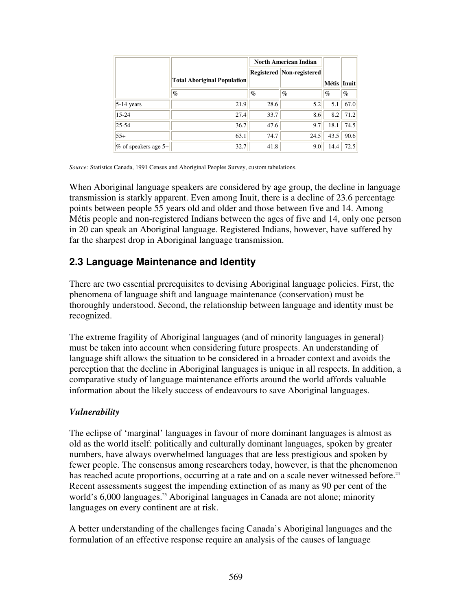|                        |                                    | <b>North American Indian</b> |                           |             |      |
|------------------------|------------------------------------|------------------------------|---------------------------|-------------|------|
|                        | <b>Total Aboriginal Population</b> |                              | Registered Non-registered | Métis Inuit |      |
|                        | $\%$                               | $\%$                         | $\%$                      | $\%$        | $\%$ |
| $5-14$ years           | 21.9                               | 28.6                         | 5.2                       | 5.1         | 67.0 |
| 15-24                  | 27.4                               | 33.7                         | 8.6                       | 8.2         | 71.2 |
| $ 25 - 54 $            | 36.7                               | 47.6                         | 9.7                       | 18.1        | 74.5 |
| $55+$                  | 63.1                               | 74.7                         | 24.5                      | 43.5        | 90.6 |
| $%$ of speakers age 5+ | 32.7                               | 41.8                         | 9.0                       | 14.4        | 72.5 |

*Source:* Statistics Canada, 1991 Census and Aboriginal Peoples Survey, custom tabulations.

When Aboriginal language speakers are considered by age group, the decline in language transmission is starkly apparent. Even among Inuit, there is a decline of 23.6 percentage points between people 55 years old and older and those between five and 14. Among Métis people and non-registered Indians between the ages of five and 14, only one person in 20 can speak an Aboriginal language. Registered Indians, however, have suffered by far the sharpest drop in Aboriginal language transmission.

# **2.3 Language Maintenance and Identity**

There are two essential prerequisites to devising Aboriginal language policies. First, the phenomena of language shift and language maintenance (conservation) must be thoroughly understood. Second, the relationship between language and identity must be recognized.

The extreme fragility of Aboriginal languages (and of minority languages in general) must be taken into account when considering future prospects. An understanding of language shift allows the situation to be considered in a broader context and avoids the perception that the decline in Aboriginal languages is unique in all respects. In addition, a comparative study of language maintenance efforts around the world affords valuable information about the likely success of endeavours to save Aboriginal languages.

#### *Vulnerability*

The eclipse of 'marginal' languages in favour of more dominant languages is almost as old as the world itself: politically and culturally dominant languages, spoken by greater numbers, have always overwhelmed languages that are less prestigious and spoken by fewer people. The consensus among researchers today, however, is that the phenomenon has reached acute proportions, occurring at a rate and on a scale never witnessed before.<sup>24</sup> Recent assessments suggest the impending extinction of as many as 90 per cent of the world's 6,000 languages. <sup>25</sup> Aboriginal languages in Canada are not alone; minority languages on every continent are at risk.

A better understanding of the challenges facing Canada's Aboriginal languages and the formulation of an effective response require an analysis of the causes of language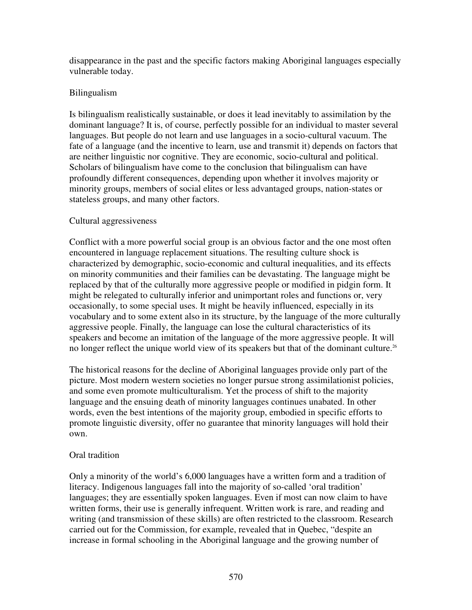disappearance in the past and the specific factors making Aboriginal languages especially vulnerable today.

#### Bilingualism

Is bilingualism realistically sustainable, or does it lead inevitably to assimilation by the dominant language? It is, of course, perfectly possible for an individual to master several languages. But people do not learn and use languages in a socio-cultural vacuum. The fate of a language (and the incentive to learn, use and transmit it) depends on factors that are neither linguistic nor cognitive. They are economic, socio-cultural and political. Scholars of bilingualism have come to the conclusion that bilingualism can have profoundly different consequences, depending upon whether it involves majority or minority groups, members of social elites or less advantaged groups, nation-states or stateless groups, and many other factors.

#### Cultural aggressiveness

Conflict with a more powerful social group is an obvious factor and the one most often encountered in language replacement situations. The resulting culture shock is characterized by demographic, socio-economic and cultural inequalities, and its effects on minority communities and their families can be devastating. The language might be replaced by that of the culturally more aggressive people or modified in pidgin form. It might be relegated to culturally inferior and unimportant roles and functions or, very occasionally, to some special uses. It might be heavily influenced, especially in its vocabulary and to some extent also in its structure, by the language of the more culturally aggressive people. Finally, the language can lose the cultural characteristics of its speakers and become an imitation of the language of the more aggressive people. It will no longer reflect the unique world view of its speakers but that of the dominant culture.<sup>26</sup>

The historical reasons for the decline of Aboriginal languages provide only part of the picture. Most modern western societies no longer pursue strong assimilationist policies, and some even promote multiculturalism. Yet the process of shift to the majority language and the ensuing death of minority languages continues unabated. In other words, even the best intentions of the majority group, embodied in specific efforts to promote linguistic diversity, offer no guarantee that minority languages will hold their own.

# Oral tradition

Only a minority of the world's 6,000 languages have a written form and a tradition of literacy. Indigenous languages fall into the majority of so-called 'oral tradition' languages; they are essentially spoken languages. Even if most can now claim to have written forms, their use is generally infrequent. Written work is rare, and reading and writing (and transmission of these skills) are often restricted to the classroom. Research carried out for the Commission, for example, revealed that in Quebec, "despite an increase in formal schooling in the Aboriginal language and the growing number of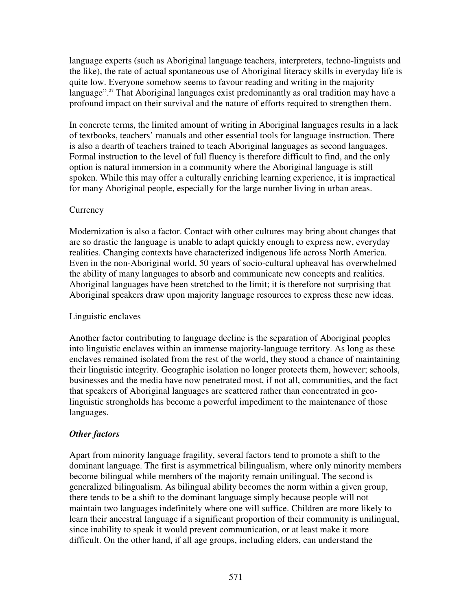language experts (such as Aboriginal language teachers, interpreters, techno-linguists and the like), the rate of actual spontaneous use of Aboriginal literacy skills in everyday life is quite low. Everyone somehow seems to favour reading and writing in the majority language". <sup>27</sup> That Aboriginal languages exist predominantly as oral tradition may have a profound impact on their survival and the nature of efforts required to strengthen them.

In concrete terms, the limited amount of writing in Aboriginal languages results in a lack of textbooks, teachers' manuals and other essential tools for language instruction. There is also a dearth of teachers trained to teach Aboriginal languages as second languages. Formal instruction to the level of full fluency is therefore difficult to find, and the only option is natural immersion in a community where the Aboriginal language is still spoken. While this may offer a culturally enriching learning experience, it is impractical for many Aboriginal people, especially for the large number living in urban areas.

#### **Currency**

Modernization is also a factor. Contact with other cultures may bring about changes that are so drastic the language is unable to adapt quickly enough to express new, everyday realities. Changing contexts have characterized indigenous life across North America. Even in the non-Aboriginal world, 50 years of socio-cultural upheaval has overwhelmed the ability of many languages to absorb and communicate new concepts and realities. Aboriginal languages have been stretched to the limit; it is therefore not surprising that Aboriginal speakers draw upon majority language resources to express these new ideas.

#### Linguistic enclaves

Another factor contributing to language decline is the separation of Aboriginal peoples into linguistic enclaves within an immense majority-language territory. As long as these enclaves remained isolated from the rest of the world, they stood a chance of maintaining their linguistic integrity. Geographic isolation no longer protects them, however; schools, businesses and the media have now penetrated most, if not all, communities, and the fact that speakers of Aboriginal languages are scattered rather than concentrated in geolinguistic strongholds has become a powerful impediment to the maintenance of those languages.

# *Other factors*

Apart from minority language fragility, several factors tend to promote a shift to the dominant language. The first is asymmetrical bilingualism, where only minority members become bilingual while members of the majority remain unilingual. The second is generalized bilingualism. As bilingual ability becomes the norm within a given group, there tends to be a shift to the dominant language simply because people will not maintain two languages indefinitely where one will suffice. Children are more likely to learn their ancestral language if a significant proportion of their community is unilingual, since inability to speak it would prevent communication, or at least make it more difficult. On the other hand, if all age groups, including elders, can understand the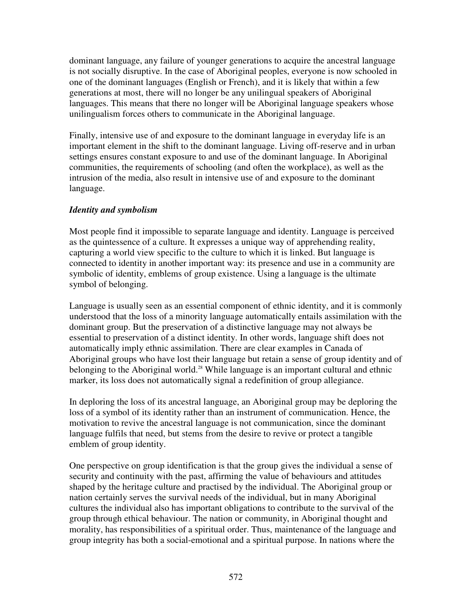dominant language, any failure of younger generations to acquire the ancestral language is not socially disruptive. In the case of Aboriginal peoples, everyone is now schooled in one of the dominant languages (English or French), and it is likely that within a few generations at most, there will no longer be any unilingual speakers of Aboriginal languages. This means that there no longer will be Aboriginal language speakers whose unilingualism forces others to communicate in the Aboriginal language.

Finally, intensive use of and exposure to the dominant language in everyday life is an important element in the shift to the dominant language. Living off-reserve and in urban settings ensures constant exposure to and use of the dominant language. In Aboriginal communities, the requirements of schooling (and often the workplace), as well as the intrusion of the media, also result in intensive use of and exposure to the dominant language.

#### *Identity and symbolism*

Most people find it impossible to separate language and identity. Language is perceived as the quintessence of a culture. It expresses a unique way of apprehending reality, capturing a world view specific to the culture to which it is linked. But language is connected to identity in another important way: its presence and use in a community are symbolic of identity, emblems of group existence. Using a language is the ultimate symbol of belonging.

Language is usually seen as an essential component of ethnic identity, and it is commonly understood that the loss of a minority language automatically entails assimilation with the dominant group. But the preservation of a distinctive language may not always be essential to preservation of a distinct identity. In other words, language shift does not automatically imply ethnic assimilation. There are clear examples in Canada of Aboriginal groups who have lost their language but retain a sense of group identity and of belonging to the Aboriginal world.<sup>28</sup> While language is an important cultural and ethnic marker, its loss does not automatically signal a redefinition of group allegiance.

In deploring the loss of its ancestral language, an Aboriginal group may be deploring the loss of a symbol of its identity rather than an instrument of communication. Hence, the motivation to revive the ancestral language is not communication, since the dominant language fulfils that need, but stems from the desire to revive or protect a tangible emblem of group identity.

One perspective on group identification is that the group gives the individual a sense of security and continuity with the past, affirming the value of behaviours and attitudes shaped by the heritage culture and practised by the individual. The Aboriginal group or nation certainly serves the survival needs of the individual, but in many Aboriginal cultures the individual also has important obligations to contribute to the survival of the group through ethical behaviour. The nation or community, in Aboriginal thought and morality, has responsibilities of a spiritual order. Thus, maintenance of the language and group integrity has both a social-emotional and a spiritual purpose. In nations where the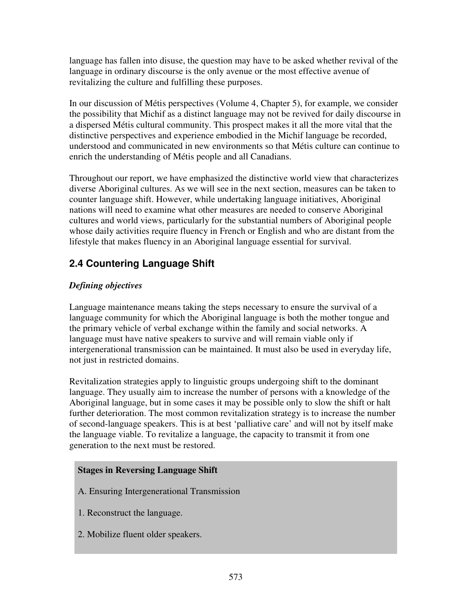language has fallen into disuse, the question may have to be asked whether revival of the language in ordinary discourse is the only avenue or the most effective avenue of revitalizing the culture and fulfilling these purposes.

In our discussion of Métis perspectives (Volume 4, Chapter 5), for example, we consider the possibility that Michif as a distinct language may not be revived for daily discourse in a dispersed Métis cultural community. This prospect makes it all the more vital that the distinctive perspectives and experience embodied in the Michif language be recorded, understood and communicated in new environments so that Métis culture can continue to enrich the understanding of Métis people and all Canadians.

Throughout our report, we have emphasized the distinctive world view that characterizes diverse Aboriginal cultures. As we will see in the next section, measures can be taken to counter language shift. However, while undertaking language initiatives, Aboriginal nations will need to examine what other measures are needed to conserve Aboriginal cultures and world views, particularly for the substantial numbers of Aboriginal people whose daily activities require fluency in French or English and who are distant from the lifestyle that makes fluency in an Aboriginal language essential for survival.

# **2.4 Countering Language Shift**

# *Defining objectives*

Language maintenance means taking the steps necessary to ensure the survival of a language community for which the Aboriginal language is both the mother tongue and the primary vehicle of verbal exchange within the family and social networks. A language must have native speakers to survive and will remain viable only if intergenerational transmission can be maintained. It must also be used in everyday life, not just in restricted domains.

Revitalization strategies apply to linguistic groups undergoing shift to the dominant language. They usually aim to increase the number of persons with a knowledge of the Aboriginal language, but in some cases it may be possible only to slow the shift or halt further deterioration. The most common revitalization strategy is to increase the number of second-language speakers. This is at best 'palliative care' and will not by itself make the language viable. To revitalize a language, the capacity to transmit it from one generation to the next must be restored.

# **Stages in Reversing Language Shift**

- A. Ensuring Intergenerational Transmission
- 1. Reconstruct the language.
- 2. Mobilize fluent older speakers.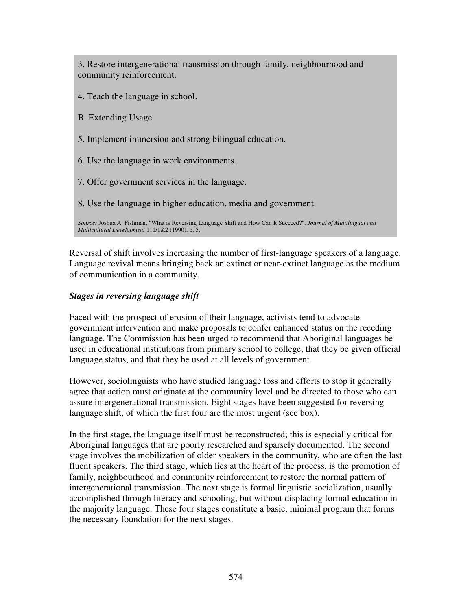3. Restore intergenerational transmission through family, neighbourhood and community reinforcement.

4. Teach the language in school.

B. Extending Usage

5. Implement immersion and strong bilingual education.

6. Use the language in work environments.

7. Offer government services in the language.

8. Use the language in higher education, media and government.

*Source:* Joshua A. Fishman, "What is Reversing Language Shift and How Can It Succeed?", *Journal of Multilingual and Multicultural Development* 111/1&2 (1990), p. 5.

Reversal of shift involves increasing the number of first-language speakers of a language. Language revival means bringing back an extinct or near-extinct language as the medium of communication in a community.

#### *Stages in reversing language shift*

Faced with the prospect of erosion of their language, activists tend to advocate government intervention and make proposals to confer enhanced status on the receding language. The Commission has been urged to recommend that Aboriginal languages be used in educational institutions from primary school to college, that they be given official language status, and that they be used at all levels of government.

However, sociolinguists who have studied language loss and efforts to stop it generally agree that action must originate at the community level and be directed to those who can assure intergenerational transmission. Eight stages have been suggested for reversing language shift, of which the first four are the most urgent (see box).

In the first stage, the language itself must be reconstructed; this is especially critical for Aboriginal languages that are poorly researched and sparsely documented. The second stage involves the mobilization of older speakers in the community, who are often the last fluent speakers. The third stage, which lies at the heart of the process, is the promotion of family, neighbourhood and community reinforcement to restore the normal pattern of intergenerational transmission. The next stage is formal linguistic socialization, usually accomplished through literacy and schooling, but without displacing formal education in the majority language. These four stages constitute a basic, minimal program that forms the necessary foundation for the next stages.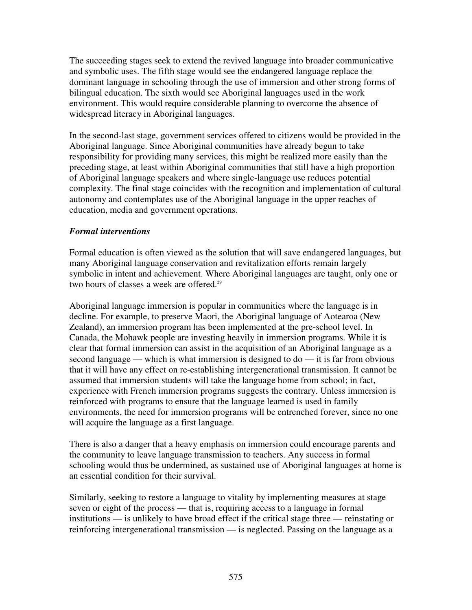The succeeding stages seek to extend the revived language into broader communicative and symbolic uses. The fifth stage would see the endangered language replace the dominant language in schooling through the use of immersion and other strong forms of bilingual education. The sixth would see Aboriginal languages used in the work environment. This would require considerable planning to overcome the absence of widespread literacy in Aboriginal languages.

In the second-last stage, government services offered to citizens would be provided in the Aboriginal language. Since Aboriginal communities have already begun to take responsibility for providing many services, this might be realized more easily than the preceding stage, at least within Aboriginal communities that still have a high proportion of Aboriginal language speakers and where single-language use reduces potential complexity. The final stage coincides with the recognition and implementation of cultural autonomy and contemplates use of the Aboriginal language in the upper reaches of education, media and government operations.

#### *Formal interventions*

Formal education is often viewed as the solution that will save endangered languages, but many Aboriginal language conservation and revitalization efforts remain largely symbolic in intent and achievement. Where Aboriginal languages are taught, only one or two hours of classes a week are offered.<sup>29</sup>

Aboriginal language immersion is popular in communities where the language is in decline. For example, to preserve Maori, the Aboriginal language of Aotearoa (New Zealand), an immersion program has been implemented at the pre-school level. In Canada, the Mohawk people are investing heavily in immersion programs. While it is clear that formal immersion can assist in the acquisition of an Aboriginal language as a second language — which is what immersion is designed to do — it is far from obvious that it will have any effect on re-establishing intergenerational transmission. It cannot be assumed that immersion students will take the language home from school; in fact, experience with French immersion programs suggests the contrary. Unless immersion is reinforced with programs to ensure that the language learned is used in family environments, the need for immersion programs will be entrenched forever, since no one will acquire the language as a first language.

There is also a danger that a heavy emphasis on immersion could encourage parents and the community to leave language transmission to teachers. Any success in formal schooling would thus be undermined, as sustained use of Aboriginal languages at home is an essential condition for their survival.

Similarly, seeking to restore a language to vitality by implementing measures at stage seven or eight of the process — that is, requiring access to a language in formal institutions — is unlikely to have broad effect if the critical stage three — reinstating or reinforcing intergenerational transmission — is neglected. Passing on the language as a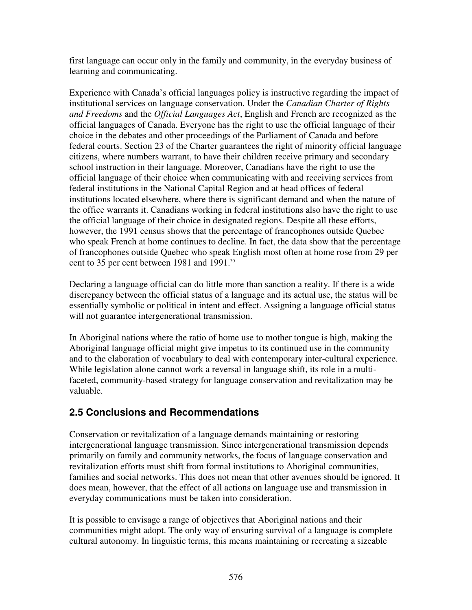first language can occur only in the family and community, in the everyday business of learning and communicating.

Experience with Canada's official languages policy is instructive regarding the impact of institutional services on language conservation. Under the *Canadian Charter of Rights and Freedoms* and the *Official Languages Act*, English and French are recognized as the official languages of Canada. Everyone has the right to use the official language of their choice in the debates and other proceedings of the Parliament of Canada and before federal courts. Section 23 of the Charter guarantees the right of minority official language citizens, where numbers warrant, to have their children receive primary and secondary school instruction in their language. Moreover, Canadians have the right to use the official language of their choice when communicating with and receiving services from federal institutions in the National Capital Region and at head offices of federal institutions located elsewhere, where there is significant demand and when the nature of the office warrants it. Canadians working in federal institutions also have the right to use the official language of their choice in designated regions. Despite all these efforts, however, the 1991 census shows that the percentage of francophones outside Quebec who speak French at home continues to decline. In fact, the data show that the percentage of francophones outside Quebec who speak English most often at home rose from 29 per cent to 35 per cent between 1981 and 1991. 30

Declaring a language official can do little more than sanction a reality. If there is a wide discrepancy between the official status of a language and its actual use, the status will be essentially symbolic or political in intent and effect. Assigning a language official status will not guarantee intergenerational transmission.

In Aboriginal nations where the ratio of home use to mother tongue is high, making the Aboriginal language official might give impetus to its continued use in the community and to the elaboration of vocabulary to deal with contemporary inter-cultural experience. While legislation alone cannot work a reversal in language shift, its role in a multifaceted, community-based strategy for language conservation and revitalization may be valuable.

# **2.5 Conclusions and Recommendations**

Conservation or revitalization of a language demands maintaining or restoring intergenerational language transmission. Since intergenerational transmission depends primarily on family and community networks, the focus of language conservation and revitalization efforts must shift from formal institutions to Aboriginal communities, families and social networks. This does not mean that other avenues should be ignored. It does mean, however, that the effect of all actions on language use and transmission in everyday communications must be taken into consideration.

It is possible to envisage a range of objectives that Aboriginal nations and their communities might adopt. The only way of ensuring survival of a language is complete cultural autonomy. In linguistic terms, this means maintaining or recreating a sizeable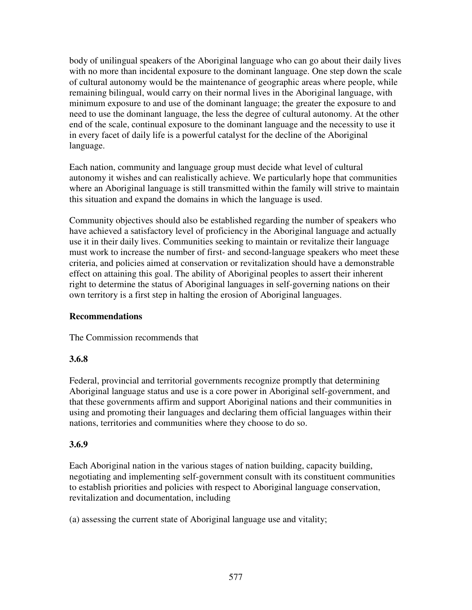body of unilingual speakers of the Aboriginal language who can go about their daily lives with no more than incidental exposure to the dominant language. One step down the scale of cultural autonomy would be the maintenance of geographic areas where people, while remaining bilingual, would carry on their normal lives in the Aboriginal language, with minimum exposure to and use of the dominant language; the greater the exposure to and need to use the dominant language, the less the degree of cultural autonomy. At the other end of the scale, continual exposure to the dominant language and the necessity to use it in every facet of daily life is a powerful catalyst for the decline of the Aboriginal language.

Each nation, community and language group must decide what level of cultural autonomy it wishes and can realistically achieve. We particularly hope that communities where an Aboriginal language is still transmitted within the family will strive to maintain this situation and expand the domains in which the language is used.

Community objectives should also be established regarding the number of speakers who have achieved a satisfactory level of proficiency in the Aboriginal language and actually use it in their daily lives. Communities seeking to maintain or revitalize their language must work to increase the number of first- and second-language speakers who meet these criteria, and policies aimed at conservation or revitalization should have a demonstrable effect on attaining this goal. The ability of Aboriginal peoples to assert their inherent right to determine the status of Aboriginal languages in self-governing nations on their own territory is a first step in halting the erosion of Aboriginal languages.

#### **Recommendations**

The Commission recommends that

# **3.6.8**

Federal, provincial and territorial governments recognize promptly that determining Aboriginal language status and use is a core power in Aboriginal self-government, and that these governments affirm and support Aboriginal nations and their communities in using and promoting their languages and declaring them official languages within their nations, territories and communities where they choose to do so.

# **3.6.9**

Each Aboriginal nation in the various stages of nation building, capacity building, negotiating and implementing self-government consult with its constituent communities to establish priorities and policies with respect to Aboriginal language conservation, revitalization and documentation, including

(a) assessing the current state of Aboriginal language use and vitality;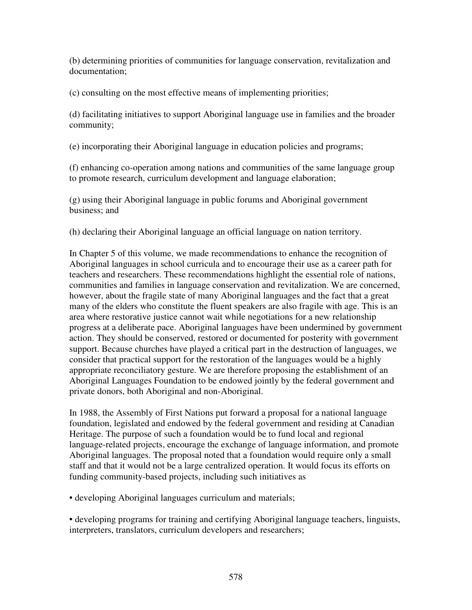(b) determining priorities of communities for language conservation, revitalization and documentation;

(c) consulting on the most effective means of implementing priorities;

(d) facilitating initiatives to support Aboriginal language use in families and the broader community;

(e) incorporating their Aboriginal language in education policies and programs;

(f) enhancing co-operation among nations and communities of the same language group to promote research, curriculum development and language elaboration;

(g) using their Aboriginal language in public forums and Aboriginal government business; and

(h) declaring their Aboriginal language an official language on nation territory.

In Chapter 5 of this volume, we made recommendations to enhance the recognition of Aboriginal languages in school curricula and to encourage their use as a career path for teachers and researchers. These recommendations highlight the essential role of nations, communities and families in language conservation and revitalization. We are concerned, however, about the fragile state of many Aboriginal languages and the fact that a great many of the elders who constitute the fluent speakers are also fragile with age. This is an area where restorative justice cannot wait while negotiations for a new relationship progress at a deliberate pace. Aboriginal languages have been undermined by government action. They should be conserved, restored or documented for posterity with government support. Because churches have played a critical part in the destruction of languages, we consider that practical support for the restoration of the languages would be a highly appropriate reconciliatory gesture. We are therefore proposing the establishment of an Aboriginal Languages Foundation to be endowed jointly by the federal government and private donors, both Aboriginal and non-Aboriginal.

In 1988, the Assembly of First Nations put forward a proposal for a national language foundation, legislated and endowed by the federal government and residing at Canadian Heritage. The purpose of such a foundation would be to fund local and regional language-related projects, encourage the exchange of language information, and promote Aboriginal languages. The proposal noted that a foundation would require only a small staff and that it would not be a large centralized operation. It would focus its efforts on funding community-based projects, including such initiatives as

• developing Aboriginal languages curriculum and materials;

• developing programs for training and certifying Aboriginal language teachers, linguists, interpreters, translators, curriculum developers and researchers;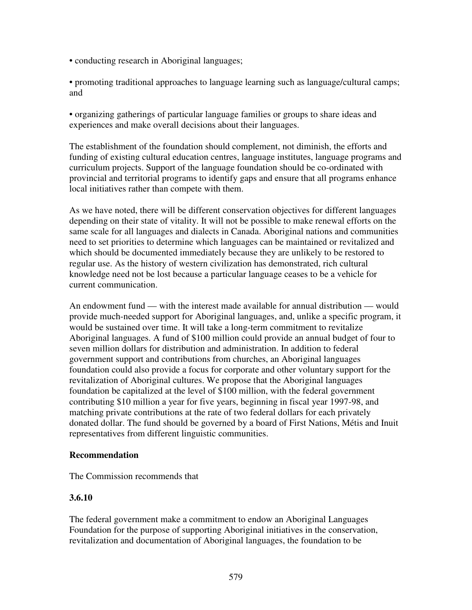- conducting research in Aboriginal languages;
- promoting traditional approaches to language learning such as language/cultural camps; and

• organizing gatherings of particular language families or groups to share ideas and experiences and make overall decisions about their languages.

The establishment of the foundation should complement, not diminish, the efforts and funding of existing cultural education centres, language institutes, language programs and curriculum projects. Support of the language foundation should be co-ordinated with provincial and territorial programs to identify gaps and ensure that all programs enhance local initiatives rather than compete with them.

As we have noted, there will be different conservation objectives for different languages depending on their state of vitality. It will not be possible to make renewal efforts on the same scale for all languages and dialects in Canada. Aboriginal nations and communities need to set priorities to determine which languages can be maintained or revitalized and which should be documented immediately because they are unlikely to be restored to regular use. As the history of western civilization has demonstrated, rich cultural knowledge need not be lost because a particular language ceases to be a vehicle for current communication.

An endowment fund — with the interest made available for annual distribution — would provide much-needed support for Aboriginal languages, and, unlike a specific program, it would be sustained over time. It will take a long-term commitment to revitalize Aboriginal languages. A fund of \$100 million could provide an annual budget of four to seven million dollars for distribution and administration. In addition to federal government support and contributions from churches, an Aboriginal languages foundation could also provide a focus for corporate and other voluntary support for the revitalization of Aboriginal cultures. We propose that the Aboriginal languages foundation be capitalized at the level of \$100 million, with the federal government contributing \$10 million a year for five years, beginning in fiscal year 1997-98, and matching private contributions at the rate of two federal dollars for each privately donated dollar. The fund should be governed by a board of First Nations, Métis and Inuit representatives from different linguistic communities.

#### **Recommendation**

The Commission recommends that

#### **3.6.10**

The federal government make a commitment to endow an Aboriginal Languages Foundation for the purpose of supporting Aboriginal initiatives in the conservation, revitalization and documentation of Aboriginal languages, the foundation to be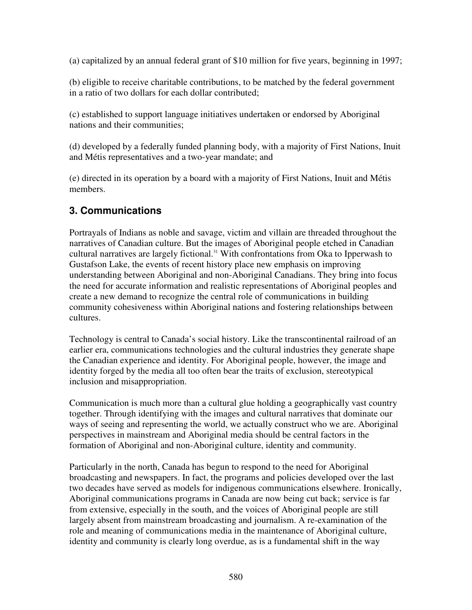(a) capitalized by an annual federal grant of \$10 million for five years, beginning in 1997;

(b) eligible to receive charitable contributions, to be matched by the federal government in a ratio of two dollars for each dollar contributed;

(c) established to support language initiatives undertaken or endorsed by Aboriginal nations and their communities;

(d) developed by a federally funded planning body, with a majority of First Nations, Inuit and Métis representatives and a two-year mandate; and

(e) directed in its operation by a board with a majority of First Nations, Inuit and Métis members.

# **3. Communications**

Portrayals of Indians as noble and savage, victim and villain are threaded throughout the narratives of Canadian culture. But the images of Aboriginal people etched in Canadian cultural narratives are largely fictional. <sup>31</sup> With confrontations from Oka to Ipperwash to Gustafson Lake, the events of recent history place new emphasis on improving understanding between Aboriginal and non-Aboriginal Canadians. They bring into focus the need for accurate information and realistic representations of Aboriginal peoples and create a new demand to recognize the central role of communications in building community cohesiveness within Aboriginal nations and fostering relationships between cultures.

Technology is central to Canada's social history. Like the transcontinental railroad of an earlier era, communications technologies and the cultural industries they generate shape the Canadian experience and identity. For Aboriginal people, however, the image and identity forged by the media all too often bear the traits of exclusion, stereotypical inclusion and misappropriation.

Communication is much more than a cultural glue holding a geographically vast country together. Through identifying with the images and cultural narratives that dominate our ways of seeing and representing the world, we actually construct who we are. Aboriginal perspectives in mainstream and Aboriginal media should be central factors in the formation of Aboriginal and non-Aboriginal culture, identity and community.

Particularly in the north, Canada has begun to respond to the need for Aboriginal broadcasting and newspapers. In fact, the programs and policies developed over the last two decades have served as models for indigenous communications elsewhere. Ironically, Aboriginal communications programs in Canada are now being cut back; service is far from extensive, especially in the south, and the voices of Aboriginal people are still largely absent from mainstream broadcasting and journalism. A re-examination of the role and meaning of communications media in the maintenance of Aboriginal culture, identity and community is clearly long overdue, as is a fundamental shift in the way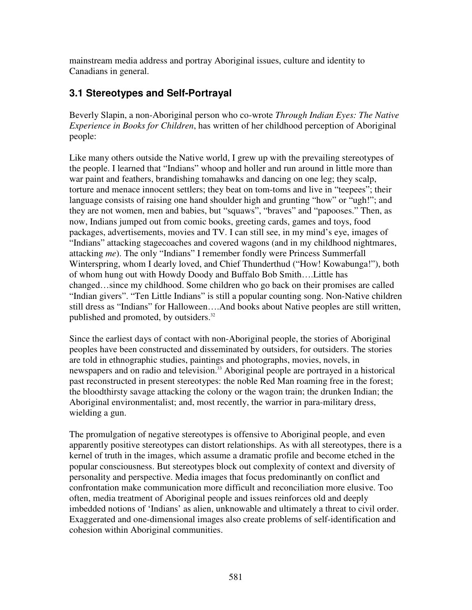mainstream media address and portray Aboriginal issues, culture and identity to Canadians in general.

# **3.1 Stereotypes and Self-Portrayal**

Beverly Slapin, a non-Aboriginal person who co-wrote *Through Indian Eyes: The Native Experience in Books for Children*, has written of her childhood perception of Aboriginal people:

Like many others outside the Native world, I grew up with the prevailing stereotypes of the people. I learned that "Indians" whoop and holler and run around in little more than war paint and feathers, brandishing tomahawks and dancing on one leg; they scalp, torture and menace innocent settlers; they beat on tom-toms and live in "teepees"; their language consists of raising one hand shoulder high and grunting "how" or "ugh!"; and they are not women, men and babies, but "squaws", "braves" and "papooses." Then, as now, Indians jumped out from comic books, greeting cards, games and toys, food packages, advertisements, movies and TV. I can still see, in my mind's eye, images of "Indians" attacking stagecoaches and covered wagons (and in my childhood nightmares, attacking *me*). The only "Indians" I remember fondly were Princess Summerfall Winterspring, whom I dearly loved, and Chief Thunderthud ("How! Kowabunga!"), both of whom hung out with Howdy Doody and Buffalo Bob Smith….Little has changed…since my childhood. Some children who go back on their promises are called "Indian givers". "Ten Little Indians" is still a popular counting song. Non-Native children still dress as "Indians" for Halloween….And books about Native peoples are still written, published and promoted, by outsiders.<sup>32</sup>

Since the earliest days of contact with non-Aboriginal people, the stories of Aboriginal peoples have been constructed and disseminated by outsiders, for outsiders. The stories are told in ethnographic studies, paintings and photographs, movies, novels, in newspapers and on radio and television. <sup>33</sup> Aboriginal people are portrayed in a historical past reconstructed in present stereotypes: the noble Red Man roaming free in the forest; the bloodthirsty savage attacking the colony or the wagon train; the drunken Indian; the Aboriginal environmentalist; and, most recently, the warrior in para-military dress, wielding a gun.

The promulgation of negative stereotypes is offensive to Aboriginal people, and even apparently positive stereotypes can distort relationships. As with all stereotypes, there is a kernel of truth in the images, which assume a dramatic profile and become etched in the popular consciousness. But stereotypes block out complexity of context and diversity of personality and perspective. Media images that focus predominantly on conflict and confrontation make communication more difficult and reconciliation more elusive. Too often, media treatment of Aboriginal people and issues reinforces old and deeply imbedded notions of 'Indians' as alien, unknowable and ultimately a threat to civil order. Exaggerated and one-dimensional images also create problems of self-identification and cohesion within Aboriginal communities.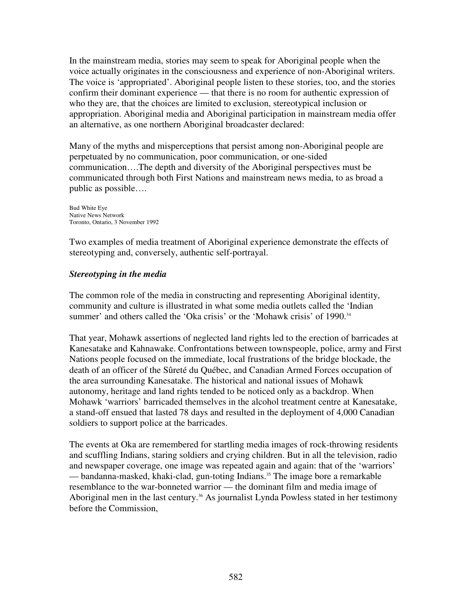In the mainstream media, stories may seem to speak for Aboriginal people when the voice actually originates in the consciousness and experience of non-Aboriginal writers. The voice is 'appropriated'. Aboriginal people listen to these stories, too, and the stories confirm their dominant experience — that there is no room for authentic expression of who they are, that the choices are limited to exclusion, stereotypical inclusion or appropriation. Aboriginal media and Aboriginal participation in mainstream media offer an alternative, as one northern Aboriginal broadcaster declared:

Many of the myths and misperceptions that persist among non-Aboriginal people are perpetuated by no communication, poor communication, or one-sided communication….The depth and diversity of the Aboriginal perspectives must be communicated through both First Nations and mainstream news media, to as broad a public as possible….

Bud White Eye Native News Network Toronto, Ontario, 3 November 1992

Two examples of media treatment of Aboriginal experience demonstrate the effects of stereotyping and, conversely, authentic self-portrayal.

#### *Stereotyping in the media*

The common role of the media in constructing and representing Aboriginal identity, community and culture is illustrated in what some media outlets called the 'Indian summer' and others called the 'Oka crisis' or the 'Mohawk crisis' of 1990.<sup>34</sup>

That year, Mohawk assertions of neglected land rights led to the erection of barricades at Kanesatake and Kahnawake. Confrontations between townspeople, police, army and First Nations people focused on the immediate, local frustrations of the bridge blockade, the death of an officer of the Sûreté du Québec, and Canadian Armed Forces occupation of the area surrounding Kanesatake. The historical and national issues of Mohawk autonomy, heritage and land rights tended to be noticed only as a backdrop. When Mohawk 'warriors' barricaded themselves in the alcohol treatment centre at Kanesatake, a stand-off ensued that lasted 78 days and resulted in the deployment of 4,000 Canadian soldiers to support police at the barricades.

The events at Oka are remembered for startling media images of rock-throwing residents and scuffling Indians, staring soldiers and crying children. But in all the television, radio and newspaper coverage, one image was repeated again and again: that of the 'warriors' — bandanna-masked, khaki-clad, gun-toting Indians. <sup>35</sup> The image bore a remarkable resemblance to the war-bonneted warrior — the dominant film and media image of Aboriginal men in the last century. <sup>36</sup> As journalist Lynda Powless stated in her testimony before the Commission,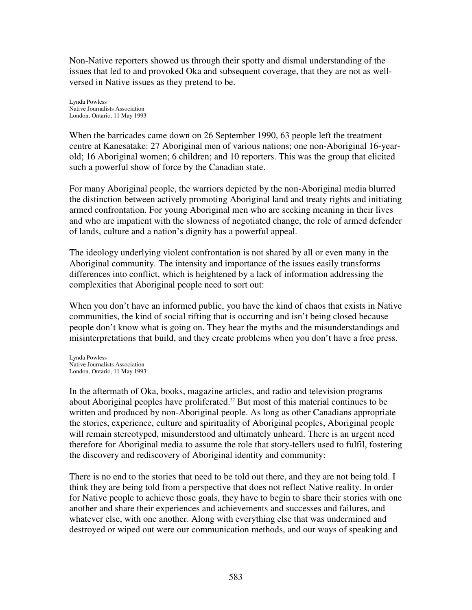Non-Native reporters showed us through their spotty and dismal understanding of the issues that led to and provoked Oka and subsequent coverage, that they are not as wellversed in Native issues as they pretend to be.

Lynda Powless Native Journalists Association London, Ontario, 11 May 1993

When the barricades came down on 26 September 1990, 63 people left the treatment centre at Kanesatake: 27 Aboriginal men of various nations; one non-Aboriginal 16-yearold; 16 Aboriginal women; 6 children; and 10 reporters. This was the group that elicited such a powerful show of force by the Canadian state.

For many Aboriginal people, the warriors depicted by the non-Aboriginal media blurred the distinction between actively promoting Aboriginal land and treaty rights and initiating armed confrontation. For young Aboriginal men who are seeking meaning in their lives and who are impatient with the slowness of negotiated change, the role of armed defender of lands, culture and a nation's dignity has a powerful appeal.

The ideology underlying violent confrontation is not shared by all or even many in the Aboriginal community. The intensity and importance of the issues easily transforms differences into conflict, which is heightened by a lack of information addressing the complexities that Aboriginal people need to sort out:

When you don't have an informed public, you have the kind of chaos that exists in Native communities, the kind of social rifting that is occurring and isn't being closed because people don't know what is going on. They hear the myths and the misunderstandings and misinterpretations that build, and they create problems when you don't have a free press.

Lynda Powless Native Journalists Association London, Ontario, 11 May 1993

In the aftermath of Oka, books, magazine articles, and radio and television programs about Aboriginal peoples have proliferated. <sup>37</sup> But most of this material continues to be written and produced by non-Aboriginal people. As long as other Canadians appropriate the stories, experience, culture and spirituality of Aboriginal peoples, Aboriginal people will remain stereotyped, misunderstood and ultimately unheard. There is an urgent need therefore for Aboriginal media to assume the role that story-tellers used to fulfil, fostering the discovery and rediscovery of Aboriginal identity and community:

There is no end to the stories that need to be told out there, and they are not being told. I think they are being told from a perspective that does not reflect Native reality. In order for Native people to achieve those goals, they have to begin to share their stories with one another and share their experiences and achievements and successes and failures, and whatever else, with one another. Along with everything else that was undermined and destroyed or wiped out were our communication methods, and our ways of speaking and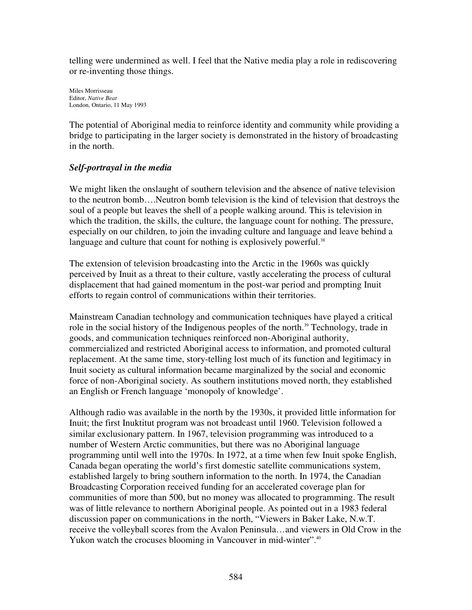telling were undermined as well. I feel that the Native media play a role in rediscovering or re-inventing those things.

Miles Morrisseau Editor, *Native Beat* London, Ontario, 11 May 1993

The potential of Aboriginal media to reinforce identity and community while providing a bridge to participating in the larger society is demonstrated in the history of broadcasting in the north.

#### *Self-portrayal in the media*

We might liken the onslaught of southern television and the absence of native television to the neutron bomb….Neutron bomb television is the kind of television that destroys the soul of a people but leaves the shell of a people walking around. This is television in which the tradition, the skills, the culture, the language count for nothing. The pressure, especially on our children, to join the invading culture and language and leave behind a language and culture that count for nothing is explosively powerful.<sup>38</sup>

The extension of television broadcasting into the Arctic in the 1960s was quickly perceived by Inuit as a threat to their culture, vastly accelerating the process of cultural displacement that had gained momentum in the post-war period and prompting Inuit efforts to regain control of communications within their territories.

Mainstream Canadian technology and communication techniques have played a critical role in the social history of the Indigenous peoples of the north. <sup>39</sup> Technology, trade in goods, and communication techniques reinforced non-Aboriginal authority, commercialized and restricted Aboriginal access to information, and promoted cultural replacement. At the same time, story-telling lost much of its function and legitimacy in Inuit society as cultural information became marginalized by the social and economic force of non-Aboriginal society. As southern institutions moved north, they established an English or French language 'monopoly of knowledge'.

Although radio was available in the north by the 1930s, it provided little information for Inuit; the first Inuktitut program was not broadcast until 1960. Television followed a similar exclusionary pattern. In 1967, television programming was introduced to a number of Western Arctic communities, but there was no Aboriginal language programming until well into the 1970s. In 1972, at a time when few Inuit spoke English, Canada began operating the world's first domestic satellite communications system, established largely to bring southern information to the north. In 1974, the Canadian Broadcasting Corporation received funding for an accelerated coverage plan for communities of more than 500, but no money was allocated to programming. The result was of little relevance to northern Aboriginal people. As pointed out in a 1983 federal discussion paper on communications in the north, "Viewers in Baker Lake, N.w.T. receive the volleyball scores from the Avalon Peninsula…and viewers in Old Crow in the Yukon watch the crocuses blooming in Vancouver in mid-winter".<sup>40</sup>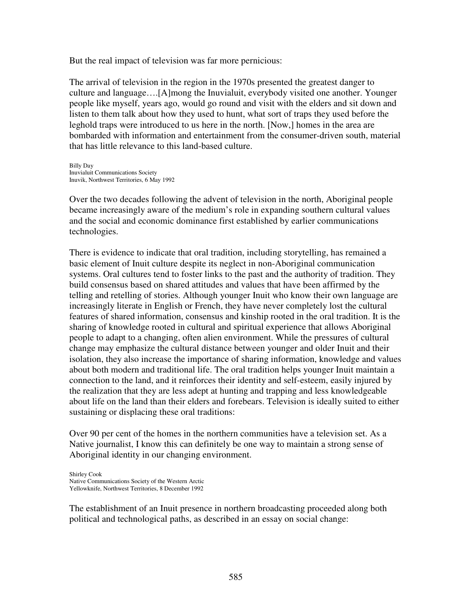But the real impact of television was far more pernicious:

The arrival of television in the region in the 1970s presented the greatest danger to culture and language….[A]mong the Inuvialuit, everybody visited one another. Younger people like myself, years ago, would go round and visit with the elders and sit down and listen to them talk about how they used to hunt, what sort of traps they used before the leghold traps were introduced to us here in the north. [Now,] homes in the area are bombarded with information and entertainment from the consumer-driven south, material that has little relevance to this land-based culture.

Billy Day Inuvialuit Communications Society Inuvik, Northwest Territories, 6 May 1992

Over the two decades following the advent of television in the north, Aboriginal people became increasingly aware of the medium's role in expanding southern cultural values and the social and economic dominance first established by earlier communications technologies.

There is evidence to indicate that oral tradition, including storytelling, has remained a basic element of Inuit culture despite its neglect in non-Aboriginal communication systems. Oral cultures tend to foster links to the past and the authority of tradition. They build consensus based on shared attitudes and values that have been affirmed by the telling and retelling of stories. Although younger Inuit who know their own language are increasingly literate in English or French, they have never completely lost the cultural features of shared information, consensus and kinship rooted in the oral tradition. It is the sharing of knowledge rooted in cultural and spiritual experience that allows Aboriginal people to adapt to a changing, often alien environment. While the pressures of cultural change may emphasize the cultural distance between younger and older Inuit and their isolation, they also increase the importance of sharing information, knowledge and values about both modern and traditional life. The oral tradition helps younger Inuit maintain a connection to the land, and it reinforces their identity and self-esteem, easily injured by the realization that they are less adept at hunting and trapping and less knowledgeable about life on the land than their elders and forebears. Television is ideally suited to either sustaining or displacing these oral traditions:

Over 90 per cent of the homes in the northern communities have a television set. As a Native journalist, I know this can definitely be one way to maintain a strong sense of Aboriginal identity in our changing environment.

Shirley Cook Native Communications Society of the Western Arctic Yellowknife, Northwest Territories, 8 December 1992

The establishment of an Inuit presence in northern broadcasting proceeded along both political and technological paths, as described in an essay on social change: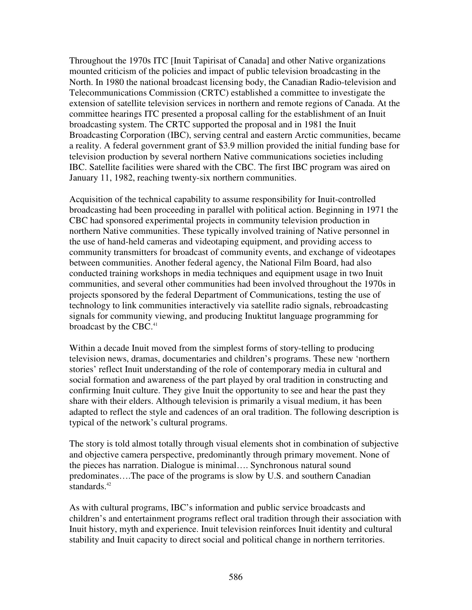Throughout the 1970s ITC [Inuit Tapirisat of Canada] and other Native organizations mounted criticism of the policies and impact of public television broadcasting in the North. In 1980 the national broadcast licensing body, the Canadian Radio-television and Telecommunications Commission (CRTC) established a committee to investigate the extension of satellite television services in northern and remote regions of Canada. At the committee hearings ITC presented a proposal calling for the establishment of an Inuit broadcasting system. The CRTC supported the proposal and in 1981 the Inuit Broadcasting Corporation (IBC), serving central and eastern Arctic communities, became a reality. A federal government grant of \$3.9 million provided the initial funding base for television production by several northern Native communications societies including IBC. Satellite facilities were shared with the CBC. The first IBC program was aired on January 11, 1982, reaching twenty-six northern communities.

Acquisition of the technical capability to assume responsibility for Inuit-controlled broadcasting had been proceeding in parallel with political action. Beginning in 1971 the CBC had sponsored experimental projects in community television production in northern Native communities. These typically involved training of Native personnel in the use of hand-held cameras and videotaping equipment, and providing access to community transmitters for broadcast of community events, and exchange of videotapes between communities. Another federal agency, the National Film Board, had also conducted training workshops in media techniques and equipment usage in two Inuit communities, and several other communities had been involved throughout the 1970s in projects sponsored by the federal Department of Communications, testing the use of technology to link communities interactively via satellite radio signals, rebroadcasting signals for community viewing, and producing Inuktitut language programming for broadcast by the CBC. 41

Within a decade Inuit moved from the simplest forms of story-telling to producing television news, dramas, documentaries and children's programs. These new 'northern stories' reflect Inuit understanding of the role of contemporary media in cultural and social formation and awareness of the part played by oral tradition in constructing and confirming Inuit culture. They give Inuit the opportunity to see and hear the past they share with their elders. Although television is primarily a visual medium, it has been adapted to reflect the style and cadences of an oral tradition. The following description is typical of the network's cultural programs.

The story is told almost totally through visual elements shot in combination of subjective and objective camera perspective, predominantly through primary movement. None of the pieces has narration. Dialogue is minimal…. Synchronous natural sound predominates….The pace of the programs is slow by U.S. and southern Canadian standards. 42

As with cultural programs, IBC's information and public service broadcasts and children's and entertainment programs reflect oral tradition through their association with Inuit history, myth and experience. Inuit television reinforces Inuit identity and cultural stability and Inuit capacity to direct social and political change in northern territories.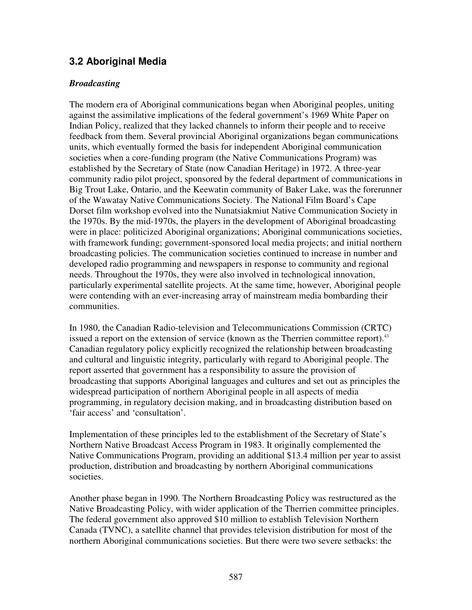# **3.2 Aboriginal Media**

#### *Broadcasting*

The modern era of Aboriginal communications began when Aboriginal peoples, uniting against the assimilative implications of the federal government's 1969 White Paper on Indian Policy, realized that they lacked channels to inform their people and to receive feedback from them. Several provincial Aboriginal organizations began communications units, which eventually formed the basis for independent Aboriginal communication societies when a core-funding program (the Native Communications Program) was established by the Secretary of State (now Canadian Heritage) in 1972. A three-year community radio pilot project, sponsored by the federal department of communications in Big Trout Lake, Ontario, and the Keewatin community of Baker Lake, was the forerunner of the Wawatay Native Communications Society. The National Film Board's Cape Dorset film workshop evolved into the Nunatsiakmiut Native Communication Society in the 1970s. By the mid-1970s, the players in the development of Aboriginal broadcasting were in place: politicized Aboriginal organizations; Aboriginal communications societies, with framework funding; government-sponsored local media projects; and initial northern broadcasting policies. The communication societies continued to increase in number and developed radio programming and newspapers in response to community and regional needs. Throughout the 1970s, they were also involved in technological innovation, particularly experimental satellite projects. At the same time, however, Aboriginal people were contending with an ever-increasing array of mainstream media bombarding their communities.

In 1980, the Canadian Radio-television and Telecommunications Commission (CRTC) issued a report on the extension of service (known as the Therrien committee report).<sup>43</sup> Canadian regulatory policy explicitly recognized the relationship between broadcasting and cultural and linguistic integrity, particularly with regard to Aboriginal people. The report asserted that government has a responsibility to assure the provision of broadcasting that supports Aboriginal languages and cultures and set out as principles the widespread participation of northern Aboriginal people in all aspects of media programming, in regulatory decision making, and in broadcasting distribution based on 'fair access' and 'consultation'.

Implementation of these principles led to the establishment of the Secretary of State's Northern Native Broadcast Access Program in 1983. It originally complemented the Native Communications Program, providing an additional \$13.4 million per year to assist production, distribution and broadcasting by northern Aboriginal communications societies.

Another phase began in 1990. The Northern Broadcasting Policy was restructured as the Native Broadcasting Policy, with wider application of the Therrien committee principles. The federal government also approved \$10 million to establish Television Northern Canada (TVNC), a satellite channel that provides television distribution for most of the northern Aboriginal communications societies. But there were two severe setbacks: the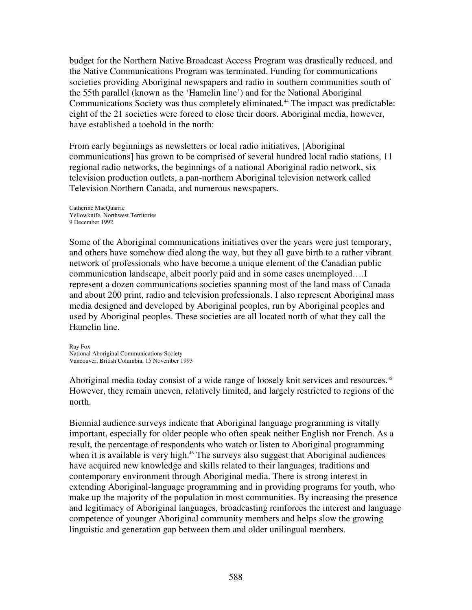budget for the Northern Native Broadcast Access Program was drastically reduced, and the Native Communications Program was terminated. Funding for communications societies providing Aboriginal newspapers and radio in southern communities south of the 55th parallel (known as the 'Hamelin line') and for the National Aboriginal Communications Society was thus completely eliminated. <sup>44</sup> The impact was predictable: eight of the 21 societies were forced to close their doors. Aboriginal media, however, have established a toehold in the north:

From early beginnings as newsletters or local radio initiatives, [Aboriginal communications] has grown to be comprised of several hundred local radio stations, 11 regional radio networks, the beginnings of a national Aboriginal radio network, six television production outlets, a pan-northern Aboriginal television network called Television Northern Canada, and numerous newspapers.

Catherine MacQuarrie Yellowknife, Northwest Territories 9 December 1992

Some of the Aboriginal communications initiatives over the years were just temporary, and others have somehow died along the way, but they all gave birth to a rather vibrant network of professionals who have become a unique element of the Canadian public communication landscape, albeit poorly paid and in some cases unemployed….I represent a dozen communications societies spanning most of the land mass of Canada and about 200 print, radio and television professionals. I also represent Aboriginal mass media designed and developed by Aboriginal peoples, run by Aboriginal peoples and used by Aboriginal peoples. These societies are all located north of what they call the Hamelin line.

Ray Fox National Aboriginal Communications Society Vancouver, British Columbia, 15 November 1993

Aboriginal media today consist of a wide range of loosely knit services and resources. 45 However, they remain uneven, relatively limited, and largely restricted to regions of the north.

Biennial audience surveys indicate that Aboriginal language programming is vitally important, especially for older people who often speak neither English nor French. As a result, the percentage of respondents who watch or listen to Aboriginal programming when it is available is very high.<sup>46</sup> The surveys also suggest that Aboriginal audiences have acquired new knowledge and skills related to their languages, traditions and contemporary environment through Aboriginal media. There is strong interest in extending Aboriginal-language programming and in providing programs for youth, who make up the majority of the population in most communities. By increasing the presence and legitimacy of Aboriginal languages, broadcasting reinforces the interest and language competence of younger Aboriginal community members and helps slow the growing linguistic and generation gap between them and older unilingual members.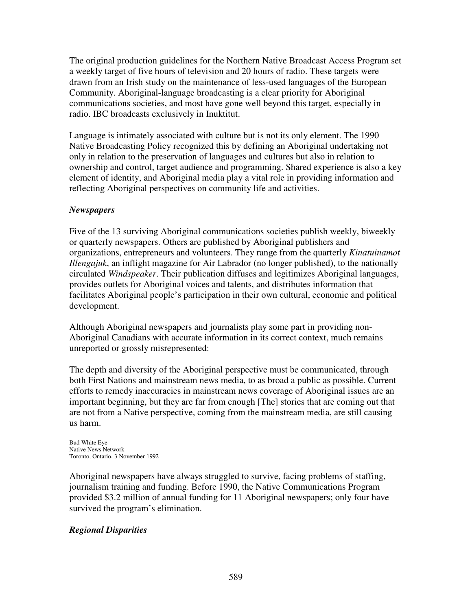The original production guidelines for the Northern Native Broadcast Access Program set a weekly target of five hours of television and 20 hours of radio. These targets were drawn from an Irish study on the maintenance of less-used languages of the European Community. Aboriginal-language broadcasting is a clear priority for Aboriginal communications societies, and most have gone well beyond this target, especially in radio. IBC broadcasts exclusively in Inuktitut.

Language is intimately associated with culture but is not its only element. The 1990 Native Broadcasting Policy recognized this by defining an Aboriginal undertaking not only in relation to the preservation of languages and cultures but also in relation to ownership and control, target audience and programming. Shared experience is also a key element of identity, and Aboriginal media play a vital role in providing information and reflecting Aboriginal perspectives on community life and activities.

#### *Newspapers*

Five of the 13 surviving Aboriginal communications societies publish weekly, biweekly or quarterly newspapers. Others are published by Aboriginal publishers and organizations, entrepreneurs and volunteers. They range from the quarterly *Kinatuinamot Illengajuk*, an inflight magazine for Air Labrador (no longer published), to the nationally circulated *Windspeaker*. Their publication diffuses and legitimizes Aboriginal languages, provides outlets for Aboriginal voices and talents, and distributes information that facilitates Aboriginal people's participation in their own cultural, economic and political development.

Although Aboriginal newspapers and journalists play some part in providing non-Aboriginal Canadians with accurate information in its correct context, much remains unreported or grossly misrepresented:

The depth and diversity of the Aboriginal perspective must be communicated, through both First Nations and mainstream news media, to as broad a public as possible. Current efforts to remedy inaccuracies in mainstream news coverage of Aboriginal issues are an important beginning, but they are far from enough [The] stories that are coming out that are not from a Native perspective, coming from the mainstream media, are still causing us harm.

Bud White Eye Native News Network Toronto, Ontario, 3 November 1992

Aboriginal newspapers have always struggled to survive, facing problems of staffing, journalism training and funding. Before 1990, the Native Communications Program provided \$3.2 million of annual funding for 11 Aboriginal newspapers; only four have survived the program's elimination.

# *Regional Disparities*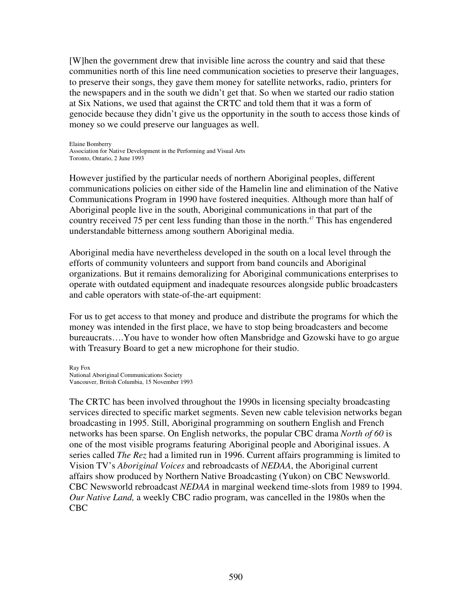[W]hen the government drew that invisible line across the country and said that these communities north of this line need communication societies to preserve their languages, to preserve their songs, they gave them money for satellite networks, radio, printers for the newspapers and in the south we didn't get that. So when we started our radio station at Six Nations, we used that against the CRTC and told them that it was a form of genocide because they didn't give us the opportunity in the south to access those kinds of money so we could preserve our languages as well.

Elaine Bomberry Association for Native Development in the Performing and Visual Arts Toronto, Ontario, 2 June 1993

However justified by the particular needs of northern Aboriginal peoples, different communications policies on either side of the Hamelin line and elimination of the Native Communications Program in 1990 have fostered inequities. Although more than half of Aboriginal people live in the south, Aboriginal communications in that part of the country received 75 per cent less funding than those in the north. <sup>47</sup> This has engendered understandable bitterness among southern Aboriginal media.

Aboriginal media have nevertheless developed in the south on a local level through the efforts of community volunteers and support from band councils and Aboriginal organizations. But it remains demoralizing for Aboriginal communications enterprises to operate with outdated equipment and inadequate resources alongside public broadcasters and cable operators with state-of-the-art equipment:

For us to get access to that money and produce and distribute the programs for which the money was intended in the first place, we have to stop being broadcasters and become bureaucrats….You have to wonder how often Mansbridge and Gzowski have to go argue with Treasury Board to get a new microphone for their studio.

Ray Fox National Aboriginal Communications Society Vancouver, British Columbia, 15 November 1993

The CRTC has been involved throughout the 1990s in licensing specialty broadcasting services directed to specific market segments. Seven new cable television networks began broadcasting in 1995. Still, Aboriginal programming on southern English and French networks has been sparse. On English networks, the popular CBC drama *North of 60* is one of the most visible programs featuring Aboriginal people and Aboriginal issues. A series called *The Rez* had a limited run in 1996. Current affairs programming is limited to Vision TV's *Aboriginal Voices* and rebroadcasts of *NEDAA*, the Aboriginal current affairs show produced by Northern Native Broadcasting (Yukon) on CBC Newsworld. CBC Newsworld rebroadcast *NEDAA* in marginal weekend time-slots from 1989 to 1994. *Our Native Land,* a weekly CBC radio program, was cancelled in the 1980s when the CBC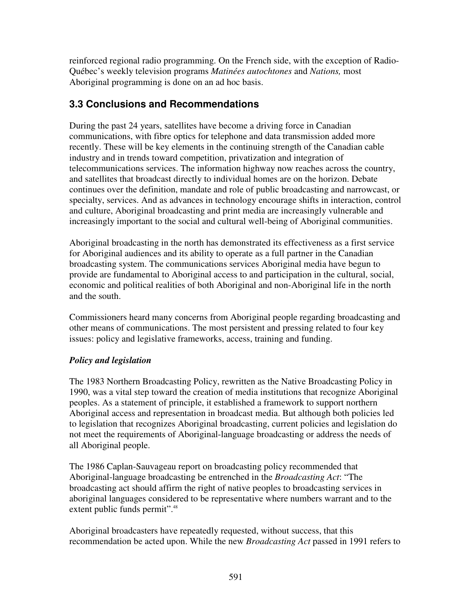reinforced regional radio programming. On the French side, with the exception of Radio-Québec's weekly television programs *Matinées autochtones* and *Nations,* most Aboriginal programming is done on an ad hoc basis.

# **3.3 Conclusions and Recommendations**

During the past 24 years, satellites have become a driving force in Canadian communications, with fibre optics for telephone and data transmission added more recently. These will be key elements in the continuing strength of the Canadian cable industry and in trends toward competition, privatization and integration of telecommunications services. The information highway now reaches across the country, and satellites that broadcast directly to individual homes are on the horizon. Debate continues over the definition, mandate and role of public broadcasting and narrowcast, or specialty, services. And as advances in technology encourage shifts in interaction, control and culture, Aboriginal broadcasting and print media are increasingly vulnerable and increasingly important to the social and cultural well-being of Aboriginal communities.

Aboriginal broadcasting in the north has demonstrated its effectiveness as a first service for Aboriginal audiences and its ability to operate as a full partner in the Canadian broadcasting system. The communications services Aboriginal media have begun to provide are fundamental to Aboriginal access to and participation in the cultural, social, economic and political realities of both Aboriginal and non-Aboriginal life in the north and the south.

Commissioners heard many concerns from Aboriginal people regarding broadcasting and other means of communications. The most persistent and pressing related to four key issues: policy and legislative frameworks, access, training and funding.

# *Policy and legislation*

The 1983 Northern Broadcasting Policy, rewritten as the Native Broadcasting Policy in 1990, was a vital step toward the creation of media institutions that recognize Aboriginal peoples. As a statement of principle, it established a framework to support northern Aboriginal access and representation in broadcast media. But although both policies led to legislation that recognizes Aboriginal broadcasting, current policies and legislation do not meet the requirements of Aboriginal-language broadcasting or address the needs of all Aboriginal people.

The 1986 Caplan-Sauvageau report on broadcasting policy recommended that Aboriginal-language broadcasting be entrenched in the *Broadcasting Act*: "The broadcasting act should affirm the right of native peoples to broadcasting services in aboriginal languages considered to be representative where numbers warrant and to the extent public funds permit".<sup>48</sup>

Aboriginal broadcasters have repeatedly requested, without success, that this recommendation be acted upon. While the new *Broadcasting Act* passed in 1991 refers to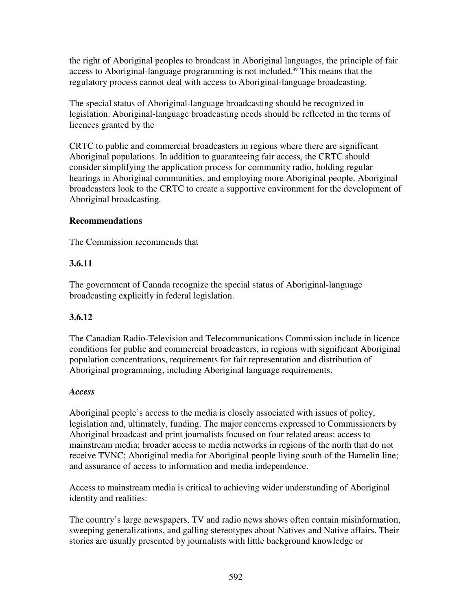the right of Aboriginal peoples to broadcast in Aboriginal languages, the principle of fair access to Aboriginal-language programming is not included. <sup>49</sup> This means that the regulatory process cannot deal with access to Aboriginal-language broadcasting.

The special status of Aboriginal-language broadcasting should be recognized in legislation. Aboriginal-language broadcasting needs should be reflected in the terms of licences granted by the

CRTC to public and commercial broadcasters in regions where there are significant Aboriginal populations. In addition to guaranteeing fair access, the CRTC should consider simplifying the application process for community radio, holding regular hearings in Aboriginal communities, and employing more Aboriginal people. Aboriginal broadcasters look to the CRTC to create a supportive environment for the development of Aboriginal broadcasting.

#### **Recommendations**

The Commission recommends that

#### **3.6.11**

The government of Canada recognize the special status of Aboriginal-language broadcasting explicitly in federal legislation.

# **3.6.12**

The Canadian Radio-Television and Telecommunications Commission include in licence conditions for public and commercial broadcasters, in regions with significant Aboriginal population concentrations, requirements for fair representation and distribution of Aboriginal programming, including Aboriginal language requirements.

#### *Access*

Aboriginal people's access to the media is closely associated with issues of policy, legislation and, ultimately, funding. The major concerns expressed to Commissioners by Aboriginal broadcast and print journalists focused on four related areas: access to mainstream media; broader access to media networks in regions of the north that do not receive TVNC; Aboriginal media for Aboriginal people living south of the Hamelin line; and assurance of access to information and media independence.

Access to mainstream media is critical to achieving wider understanding of Aboriginal identity and realities:

The country's large newspapers, TV and radio news shows often contain misinformation, sweeping generalizations, and galling stereotypes about Natives and Native affairs. Their stories are usually presented by journalists with little background knowledge or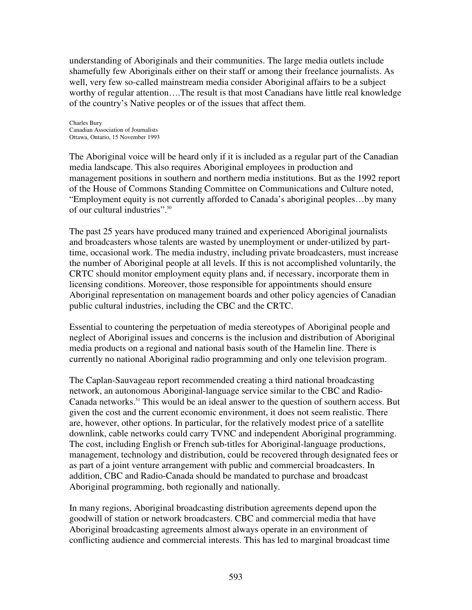understanding of Aboriginals and their communities. The large media outlets include shamefully few Aboriginals either on their staff or among their freelance journalists. As well, very few so-called mainstream media consider Aboriginal affairs to be a subject worthy of regular attention….The result is that most Canadians have little real knowledge of the country's Native peoples or of the issues that affect them.

Charles Bury Canadian Association of Journalists Ottawa, Ontario, 15 November 1993

The Aboriginal voice will be heard only if it is included as a regular part of the Canadian media landscape. This also requires Aboriginal employees in production and management positions in southern and northern media institutions. But as the 1992 report of the House of Commons Standing Committee on Communications and Culture noted, "Employment equity is not currently afforded to Canada's aboriginal peoples…by many of our cultural industries". 50

The past 25 years have produced many trained and experienced Aboriginal journalists and broadcasters whose talents are wasted by unemployment or under-utilized by parttime, occasional work. The media industry, including private broadcasters, must increase the number of Aboriginal people at all levels. If this is not accomplished voluntarily, the CRTC should monitor employment equity plans and, if necessary, incorporate them in licensing conditions. Moreover, those responsible for appointments should ensure Aboriginal representation on management boards and other policy agencies of Canadian public cultural industries, including the CBC and the CRTC.

Essential to countering the perpetuation of media stereotypes of Aboriginal people and neglect of Aboriginal issues and concerns is the inclusion and distribution of Aboriginal media products on a regional and national basis south of the Hamelin line. There is currently no national Aboriginal radio programming and only one television program.

The Caplan-Sauvageau report recommended creating a third national broadcasting network, an autonomous Aboriginal-language service similar to the CBC and Radio-Canada networks. <sup>51</sup> This would be an ideal answer to the question of southern access. But given the cost and the current economic environment, it does not seem realistic. There are, however, other options. In particular, for the relatively modest price of a satellite downlink, cable networks could carry TVNC and independent Aboriginal programming. The cost, including English or French sub-titles for Aboriginal-language productions, management, technology and distribution, could be recovered through designated fees or as part of a joint venture arrangement with public and commercial broadcasters. In addition, CBC and Radio-Canada should be mandated to purchase and broadcast Aboriginal programming, both regionally and nationally.

In many regions, Aboriginal broadcasting distribution agreements depend upon the goodwill of station or network broadcasters. CBC and commercial media that have Aboriginal broadcasting agreements almost always operate in an environment of conflicting audience and commercial interests. This has led to marginal broadcast time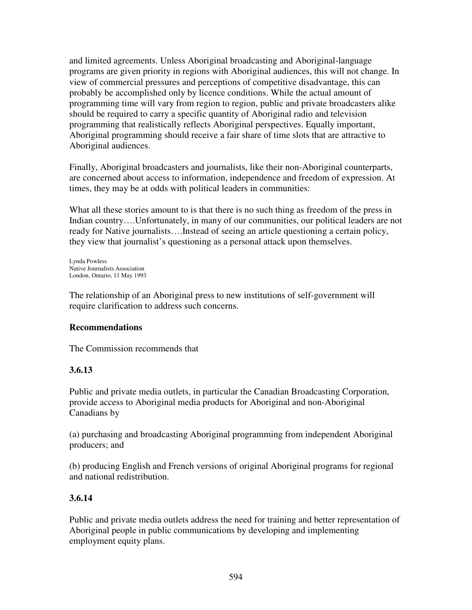and limited agreements. Unless Aboriginal broadcasting and Aboriginal-language programs are given priority in regions with Aboriginal audiences, this will not change. In view of commercial pressures and perceptions of competitive disadvantage, this can probably be accomplished only by licence conditions. While the actual amount of programming time will vary from region to region, public and private broadcasters alike should be required to carry a specific quantity of Aboriginal radio and television programming that realistically reflects Aboriginal perspectives. Equally important, Aboriginal programming should receive a fair share of time slots that are attractive to Aboriginal audiences.

Finally, Aboriginal broadcasters and journalists, like their non-Aboriginal counterparts, are concerned about access to information, independence and freedom of expression. At times, they may be at odds with political leaders in communities:

What all these stories amount to is that there is no such thing as freedom of the press in Indian country....Unfortunately, in many of our communities, our political leaders are not ready for Native journalists….Instead of seeing an article questioning a certain policy, they view that journalist's questioning as a personal attack upon themselves.

Lynda Powless Native Journalists Association London, Ontario, 11 May 1993

The relationship of an Aboriginal press to new institutions of self-government will require clarification to address such concerns.

#### **Recommendations**

The Commission recommends that

#### **3.6.13**

Public and private media outlets, in particular the Canadian Broadcasting Corporation, provide access to Aboriginal media products for Aboriginal and non-Aboriginal Canadians by

(a) purchasing and broadcasting Aboriginal programming from independent Aboriginal producers; and

(b) producing English and French versions of original Aboriginal programs for regional and national redistribution.

# **3.6.14**

Public and private media outlets address the need for training and better representation of Aboriginal people in public communications by developing and implementing employment equity plans.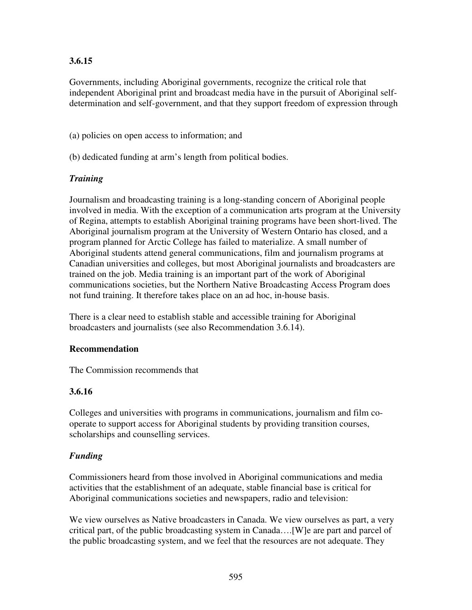#### **3.6.15**

Governments, including Aboriginal governments, recognize the critical role that independent Aboriginal print and broadcast media have in the pursuit of Aboriginal selfdetermination and self-government, and that they support freedom of expression through

(a) policies on open access to information; and

(b) dedicated funding at arm's length from political bodies.

#### *Training*

Journalism and broadcasting training is a long-standing concern of Aboriginal people involved in media. With the exception of a communication arts program at the University of Regina, attempts to establish Aboriginal training programs have been short-lived. The Aboriginal journalism program at the University of Western Ontario has closed, and a program planned for Arctic College has failed to materialize. A small number of Aboriginal students attend general communications, film and journalism programs at Canadian universities and colleges, but most Aboriginal journalists and broadcasters are trained on the job. Media training is an important part of the work of Aboriginal communications societies, but the Northern Native Broadcasting Access Program does not fund training. It therefore takes place on an ad hoc, in-house basis.

There is a clear need to establish stable and accessible training for Aboriginal broadcasters and journalists (see also Recommendation 3.6.14).

#### **Recommendation**

The Commission recommends that

#### **3.6.16**

Colleges and universities with programs in communications, journalism and film cooperate to support access for Aboriginal students by providing transition courses, scholarships and counselling services.

#### *Funding*

Commissioners heard from those involved in Aboriginal communications and media activities that the establishment of an adequate, stable financial base is critical for Aboriginal communications societies and newspapers, radio and television:

We view ourselves as Native broadcasters in Canada. We view ourselves as part, a very critical part, of the public broadcasting system in Canada….[W]e are part and parcel of the public broadcasting system, and we feel that the resources are not adequate. They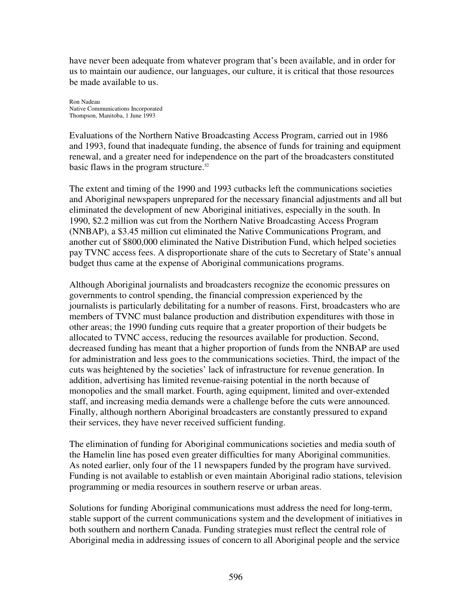have never been adequate from whatever program that's been available, and in order for us to maintain our audience, our languages, our culture, it is critical that those resources be made available to us.

Ron Nadeau Native Communications Incorporated Thompson, Manitoba, 1 June 1993

Evaluations of the Northern Native Broadcasting Access Program, carried out in 1986 and 1993, found that inadequate funding, the absence of funds for training and equipment renewal, and a greater need for independence on the part of the broadcasters constituted basic flaws in the program structure. 52

The extent and timing of the 1990 and 1993 cutbacks left the communications societies and Aboriginal newspapers unprepared for the necessary financial adjustments and all but eliminated the development of new Aboriginal initiatives, especially in the south. In 1990, \$2.2 million was cut from the Northern Native Broadcasting Access Program (NNBAP), a \$3.45 million cut eliminated the Native Communications Program, and another cut of \$800,000 eliminated the Native Distribution Fund, which helped societies pay TVNC access fees. A disproportionate share of the cuts to Secretary of State's annual budget thus came at the expense of Aboriginal communications programs.

Although Aboriginal journalists and broadcasters recognize the economic pressures on governments to control spending, the financial compression experienced by the journalists is particularly debilitating for a number of reasons. First, broadcasters who are members of TVNC must balance production and distribution expenditures with those in other areas; the 1990 funding cuts require that a greater proportion of their budgets be allocated to TVNC access, reducing the resources available for production. Second, decreased funding has meant that a higher proportion of funds from the NNBAP are used for administration and less goes to the communications societies. Third, the impact of the cuts was heightened by the societies' lack of infrastructure for revenue generation. In addition, advertising has limited revenue-raising potential in the north because of monopolies and the small market. Fourth, aging equipment, limited and over-extended staff, and increasing media demands were a challenge before the cuts were announced. Finally, although northern Aboriginal broadcasters are constantly pressured to expand their services, they have never received sufficient funding.

The elimination of funding for Aboriginal communications societies and media south of the Hamelin line has posed even greater difficulties for many Aboriginal communities. As noted earlier, only four of the 11 newspapers funded by the program have survived. Funding is not available to establish or even maintain Aboriginal radio stations, television programming or media resources in southern reserve or urban areas.

Solutions for funding Aboriginal communications must address the need for long-term, stable support of the current communications system and the development of initiatives in both southern and northern Canada. Funding strategies must reflect the central role of Aboriginal media in addressing issues of concern to all Aboriginal people and the service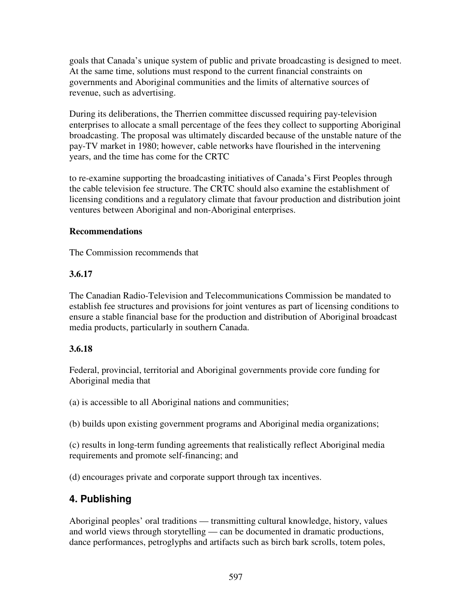goals that Canada's unique system of public and private broadcasting is designed to meet. At the same time, solutions must respond to the current financial constraints on governments and Aboriginal communities and the limits of alternative sources of revenue, such as advertising.

During its deliberations, the Therrien committee discussed requiring pay-television enterprises to allocate a small percentage of the fees they collect to supporting Aboriginal broadcasting. The proposal was ultimately discarded because of the unstable nature of the pay-TV market in 1980; however, cable networks have flourished in the intervening years, and the time has come for the CRTC

to re-examine supporting the broadcasting initiatives of Canada's First Peoples through the cable television fee structure. The CRTC should also examine the establishment of licensing conditions and a regulatory climate that favour production and distribution joint ventures between Aboriginal and non-Aboriginal enterprises.

#### **Recommendations**

The Commission recommends that

# **3.6.17**

The Canadian Radio-Television and Telecommunications Commission be mandated to establish fee structures and provisions for joint ventures as part of licensing conditions to ensure a stable financial base for the production and distribution of Aboriginal broadcast media products, particularly in southern Canada.

# **3.6.18**

Federal, provincial, territorial and Aboriginal governments provide core funding for Aboriginal media that

(a) is accessible to all Aboriginal nations and communities;

(b) builds upon existing government programs and Aboriginal media organizations;

(c) results in long-term funding agreements that realistically reflect Aboriginal media requirements and promote self-financing; and

(d) encourages private and corporate support through tax incentives.

# **4. Publishing**

Aboriginal peoples' oral traditions — transmitting cultural knowledge, history, values and world views through storytelling — can be documented in dramatic productions, dance performances, petroglyphs and artifacts such as birch bark scrolls, totem poles,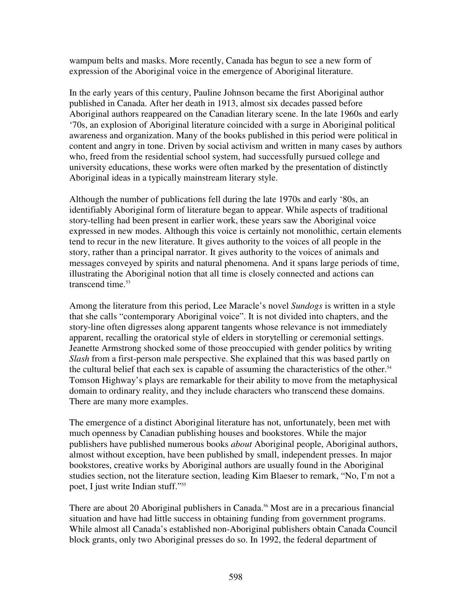wampum belts and masks. More recently, Canada has begun to see a new form of expression of the Aboriginal voice in the emergence of Aboriginal literature.

In the early years of this century, Pauline Johnson became the first Aboriginal author published in Canada. After her death in 1913, almost six decades passed before Aboriginal authors reappeared on the Canadian literary scene. In the late 1960s and early '70s, an explosion of Aboriginal literature coincided with a surge in Aboriginal political awareness and organization. Many of the books published in this period were political in content and angry in tone. Driven by social activism and written in many cases by authors who, freed from the residential school system, had successfully pursued college and university educations, these works were often marked by the presentation of distinctly Aboriginal ideas in a typically mainstream literary style.

Although the number of publications fell during the late 1970s and early '80s, an identifiably Aboriginal form of literature began to appear. While aspects of traditional story-telling had been present in earlier work, these years saw the Aboriginal voice expressed in new modes. Although this voice is certainly not monolithic, certain elements tend to recur in the new literature. It gives authority to the voices of all people in the story, rather than a principal narrator. It gives authority to the voices of animals and messages conveyed by spirits and natural phenomena. And it spans large periods of time, illustrating the Aboriginal notion that all time is closely connected and actions can transcend time. 53

Among the literature from this period, Lee Maracle's novel *Sundogs* is written in a style that she calls "contemporary Aboriginal voice". It is not divided into chapters, and the story-line often digresses along apparent tangents whose relevance is not immediately apparent, recalling the oratorical style of elders in storytelling or ceremonial settings. Jeanette Armstrong shocked some of those preoccupied with gender politics by writing *Slash* from a first-person male perspective. She explained that this was based partly on the cultural belief that each sex is capable of assuming the characteristics of the other.<sup>54</sup> Tomson Highway's plays are remarkable for their ability to move from the metaphysical domain to ordinary reality, and they include characters who transcend these domains. There are many more examples.

The emergence of a distinct Aboriginal literature has not, unfortunately, been met with much openness by Canadian publishing houses and bookstores. While the major publishers have published numerous books *about* Aboriginal people, Aboriginal authors, almost without exception, have been published by small, independent presses. In major bookstores, creative works by Aboriginal authors are usually found in the Aboriginal studies section, not the literature section, leading Kim Blaeser to remark, "No, I'm not a poet, I just write Indian stuff." 55

There are about 20 Aboriginal publishers in Canada. <sup>56</sup> Most are in a precarious financial situation and have had little success in obtaining funding from government programs. While almost all Canada's established non-Aboriginal publishers obtain Canada Council block grants, only two Aboriginal presses do so. In 1992, the federal department of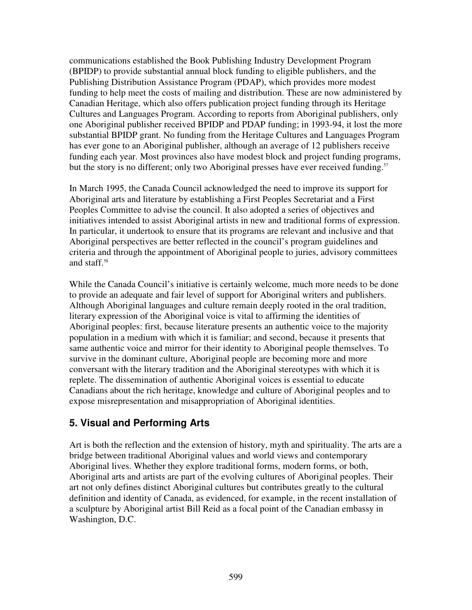communications established the Book Publishing Industry Development Program (BPIDP) to provide substantial annual block funding to eligible publishers, and the Publishing Distribution Assistance Program (PDAP), which provides more modest funding to help meet the costs of mailing and distribution. These are now administered by Canadian Heritage, which also offers publication project funding through its Heritage Cultures and Languages Program. According to reports from Aboriginal publishers, only one Aboriginal publisher received BPIDP and PDAP funding; in 1993-94, it lost the more substantial BPIDP grant. No funding from the Heritage Cultures and Languages Program has ever gone to an Aboriginal publisher, although an average of 12 publishers receive funding each year. Most provinces also have modest block and project funding programs, but the story is no different; only two Aboriginal presses have ever received funding.<sup>57</sup>

In March 1995, the Canada Council acknowledged the need to improve its support for Aboriginal arts and literature by establishing a First Peoples Secretariat and a First Peoples Committee to advise the council. It also adopted a series of objectives and initiatives intended to assist Aboriginal artists in new and traditional forms of expression. In particular, it undertook to ensure that its programs are relevant and inclusive and that Aboriginal perspectives are better reflected in the council's program guidelines and criteria and through the appointment of Aboriginal people to juries, advisory committees and staff. 58

While the Canada Council's initiative is certainly welcome, much more needs to be done to provide an adequate and fair level of support for Aboriginal writers and publishers. Although Aboriginal languages and culture remain deeply rooted in the oral tradition, literary expression of the Aboriginal voice is vital to affirming the identities of Aboriginal peoples: first, because literature presents an authentic voice to the majority population in a medium with which it is familiar; and second, because it presents that same authentic voice and mirror for their identity to Aboriginal people themselves. To survive in the dominant culture, Aboriginal people are becoming more and more conversant with the literary tradition and the Aboriginal stereotypes with which it is replete. The dissemination of authentic Aboriginal voices is essential to educate Canadians about the rich heritage, knowledge and culture of Aboriginal peoples and to expose misrepresentation and misappropriation of Aboriginal identities.

# **5. Visual and Performing Arts**

Art is both the reflection and the extension of history, myth and spirituality. The arts are a bridge between traditional Aboriginal values and world views and contemporary Aboriginal lives. Whether they explore traditional forms, modern forms, or both, Aboriginal arts and artists are part of the evolving cultures of Aboriginal peoples. Their art not only defines distinct Aboriginal cultures but contributes greatly to the cultural definition and identity of Canada, as evidenced, for example, in the recent installation of a sculpture by Aboriginal artist Bill Reid as a focal point of the Canadian embassy in Washington, D.C.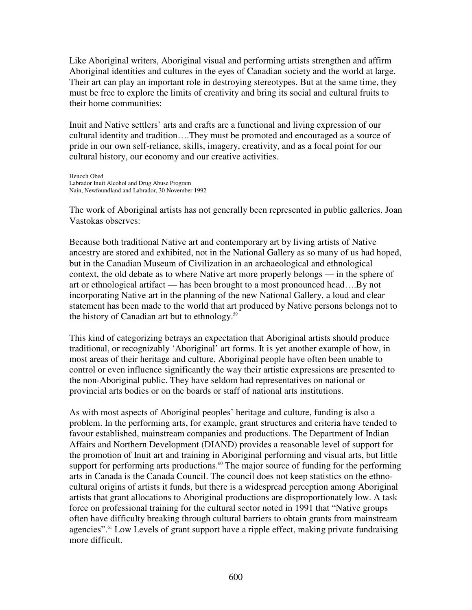Like Aboriginal writers, Aboriginal visual and performing artists strengthen and affirm Aboriginal identities and cultures in the eyes of Canadian society and the world at large. Their art can play an important role in destroying stereotypes. But at the same time, they must be free to explore the limits of creativity and bring its social and cultural fruits to their home communities:

Inuit and Native settlers' arts and crafts are a functional and living expression of our cultural identity and tradition….They must be promoted and encouraged as a source of pride in our own self-reliance, skills, imagery, creativity, and as a focal point for our cultural history, our economy and our creative activities.

Henoch Obed Labrador Inuit Alcohol and Drug Abuse Program Nain, Newfoundland and Labrador, 30 November 1992

The work of Aboriginal artists has not generally been represented in public galleries. Joan Vastokas observes:

Because both traditional Native art and contemporary art by living artists of Native ancestry are stored and exhibited, not in the National Gallery as so many of us had hoped, but in the Canadian Museum of Civilization in an archaeological and ethnological context, the old debate as to where Native art more properly belongs — in the sphere of art or ethnological artifact — has been brought to a most pronounced head….By not incorporating Native art in the planning of the new National Gallery, a loud and clear statement has been made to the world that art produced by Native persons belongs not to the history of Canadian art but to ethnology.<sup>59</sup>

This kind of categorizing betrays an expectation that Aboriginal artists should produce traditional, or recognizably 'Aboriginal' art forms. It is yet another example of how, in most areas of their heritage and culture, Aboriginal people have often been unable to control or even influence significantly the way their artistic expressions are presented to the non-Aboriginal public. They have seldom had representatives on national or provincial arts bodies or on the boards or staff of national arts institutions.

As with most aspects of Aboriginal peoples' heritage and culture, funding is also a problem. In the performing arts, for example, grant structures and criteria have tended to favour established, mainstream companies and productions. The Department of Indian Affairs and Northern Development (DIAND) provides a reasonable level of support for the promotion of Inuit art and training in Aboriginal performing and visual arts, but little support for performing arts productions.<sup>60</sup> The major source of funding for the performing arts in Canada is the Canada Council. The council does not keep statistics on the ethnocultural origins of artists it funds, but there is a widespread perception among Aboriginal artists that grant allocations to Aboriginal productions are disproportionately low. A task force on professional training for the cultural sector noted in 1991 that "Native groups often have difficulty breaking through cultural barriers to obtain grants from mainstream agencies". <sup>61</sup> Low Levels of grant support have a ripple effect, making private fundraising more difficult.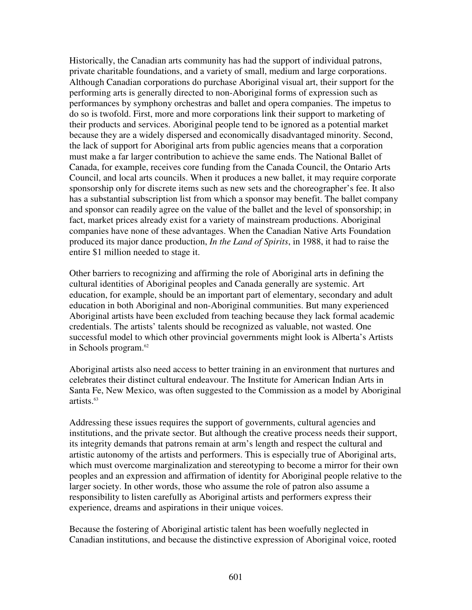Historically, the Canadian arts community has had the support of individual patrons, private charitable foundations, and a variety of small, medium and large corporations. Although Canadian corporations do purchase Aboriginal visual art, their support for the performing arts is generally directed to non-Aboriginal forms of expression such as performances by symphony orchestras and ballet and opera companies. The impetus to do so is twofold. First, more and more corporations link their support to marketing of their products and services. Aboriginal people tend to be ignored as a potential market because they are a widely dispersed and economically disadvantaged minority. Second, the lack of support for Aboriginal arts from public agencies means that a corporation must make a far larger contribution to achieve the same ends. The National Ballet of Canada, for example, receives core funding from the Canada Council, the Ontario Arts Council, and local arts councils. When it produces a new ballet, it may require corporate sponsorship only for discrete items such as new sets and the choreographer's fee. It also has a substantial subscription list from which a sponsor may benefit. The ballet company and sponsor can readily agree on the value of the ballet and the level of sponsorship; in fact, market prices already exist for a variety of mainstream productions. Aboriginal companies have none of these advantages. When the Canadian Native Arts Foundation produced its major dance production, *In the Land of Spirits*, in 1988, it had to raise the entire \$1 million needed to stage it.

Other barriers to recognizing and affirming the role of Aboriginal arts in defining the cultural identities of Aboriginal peoples and Canada generally are systemic. Art education, for example, should be an important part of elementary, secondary and adult education in both Aboriginal and non-Aboriginal communities. But many experienced Aboriginal artists have been excluded from teaching because they lack formal academic credentials. The artists' talents should be recognized as valuable, not wasted. One successful model to which other provincial governments might look is Alberta's Artists in Schools program. 62

Aboriginal artists also need access to better training in an environment that nurtures and celebrates their distinct cultural endeavour. The Institute for American Indian Arts in Santa Fe, New Mexico, was often suggested to the Commission as a model by Aboriginal artists. 63

Addressing these issues requires the support of governments, cultural agencies and institutions, and the private sector. But although the creative process needs their support, its integrity demands that patrons remain at arm's length and respect the cultural and artistic autonomy of the artists and performers. This is especially true of Aboriginal arts, which must overcome marginalization and stereotyping to become a mirror for their own peoples and an expression and affirmation of identity for Aboriginal people relative to the larger society. In other words, those who assume the role of patron also assume a responsibility to listen carefully as Aboriginal artists and performers express their experience, dreams and aspirations in their unique voices.

Because the fostering of Aboriginal artistic talent has been woefully neglected in Canadian institutions, and because the distinctive expression of Aboriginal voice, rooted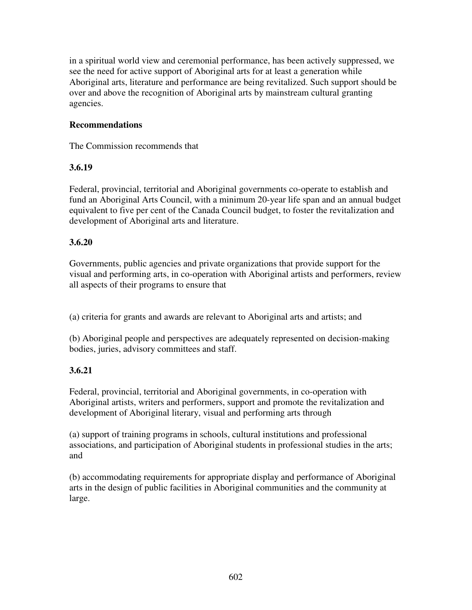in a spiritual world view and ceremonial performance, has been actively suppressed, we see the need for active support of Aboriginal arts for at least a generation while Aboriginal arts, literature and performance are being revitalized. Such support should be over and above the recognition of Aboriginal arts by mainstream cultural granting agencies.

#### **Recommendations**

The Commission recommends that

#### **3.6.19**

Federal, provincial, territorial and Aboriginal governments co-operate to establish and fund an Aboriginal Arts Council, with a minimum 20-year life span and an annual budget equivalent to five per cent of the Canada Council budget, to foster the revitalization and development of Aboriginal arts and literature.

#### **3.6.20**

Governments, public agencies and private organizations that provide support for the visual and performing arts, in co-operation with Aboriginal artists and performers, review all aspects of their programs to ensure that

(a) criteria for grants and awards are relevant to Aboriginal arts and artists; and

(b) Aboriginal people and perspectives are adequately represented on decision-making bodies, juries, advisory committees and staff.

# **3.6.21**

Federal, provincial, territorial and Aboriginal governments, in co-operation with Aboriginal artists, writers and performers, support and promote the revitalization and development of Aboriginal literary, visual and performing arts through

(a) support of training programs in schools, cultural institutions and professional associations, and participation of Aboriginal students in professional studies in the arts; and

(b) accommodating requirements for appropriate display and performance of Aboriginal arts in the design of public facilities in Aboriginal communities and the community at large.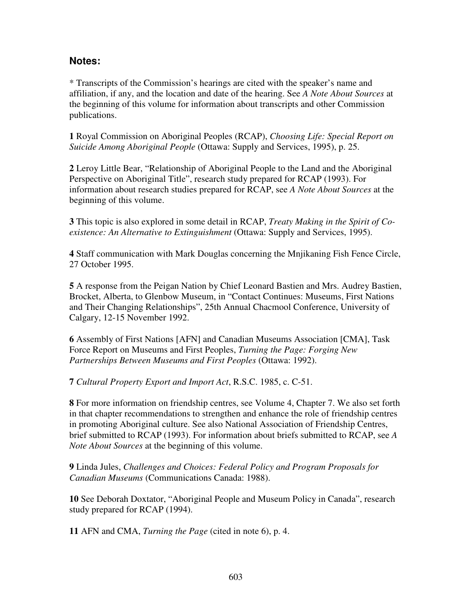# **Notes:**

\* Transcripts of the Commission's hearings are cited with the speaker's name and affiliation, if any, and the location and date of the hearing. See *A Note About Sources* at the beginning of this volume for information about transcripts and other Commission publications.

**1** Royal Commission on Aboriginal Peoples (RCAP), *Choosing Life: Special Report on Suicide Among Aboriginal People* (Ottawa: Supply and Services, 1995), p. 25.

**2** Leroy Little Bear, "Relationship of Aboriginal People to the Land and the Aboriginal Perspective on Aboriginal Title", research study prepared for RCAP (1993). For information about research studies prepared for RCAP, see *A Note About Sources* at the beginning of this volume.

**3** This topic is also explored in some detail in RCAP, *Treaty Making in the Spirit of Coexistence: An Alternative to Extinguishment* (Ottawa: Supply and Services, 1995).

**4** Staff communication with Mark Douglas concerning the Mnjikaning Fish Fence Circle, 27 October 1995.

**5** A response from the Peigan Nation by Chief Leonard Bastien and Mrs. Audrey Bastien, Brocket, Alberta, to Glenbow Museum, in "Contact Continues: Museums, First Nations and Their Changing Relationships", 25th Annual Chacmool Conference, University of Calgary, 12-15 November 1992.

**6** Assembly of First Nations [AFN] and Canadian Museums Association [CMA], Task Force Report on Museums and First Peoples, *Turning the Page: Forging New Partnerships Between Museums and First Peoples* (Ottawa: 1992).

**7** *Cultural Property Export and Import Act*, R.S.C. 1985, c. C-51.

**8** For more information on friendship centres, see Volume 4, Chapter 7. We also set forth in that chapter recommendations to strengthen and enhance the role of friendship centres in promoting Aboriginal culture. See also National Association of Friendship Centres, brief submitted to RCAP (1993). For information about briefs submitted to RCAP, see *A Note About Sources* at the beginning of this volume.

**9** Linda Jules, *Challenges and Choices: Federal Policy and Program Proposals for Canadian Museums* (Communications Canada: 1988).

**10** See Deborah Doxtator, "Aboriginal People and Museum Policy in Canada", research study prepared for RCAP (1994).

**11** AFN and CMA, *Turning the Page* (cited in note 6), p. 4.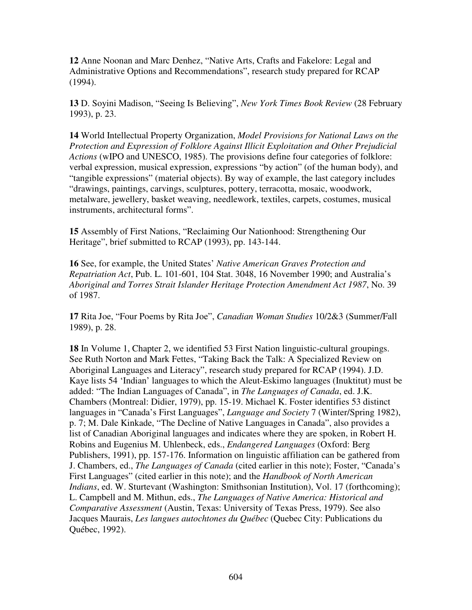**12** Anne Noonan and Marc Denhez, "Native Arts, Crafts and Fakelore: Legal and Administrative Options and Recommendations", research study prepared for RCAP (1994).

**13** D. Soyini Madison, "Seeing Is Believing", *New York Times Book Review* (28 February 1993), p. 23.

**14** World Intellectual Property Organization, *Model Provisions for National Laws on the Protection and Expression of Folklore Against Illicit Exploitation and Other Prejudicial Actions* (wIPO and UNESCO, 1985). The provisions define four categories of folklore: verbal expression, musical expression, expressions "by action" (of the human body), and "tangible expressions" (material objects). By way of example, the last category includes "drawings, paintings, carvings, sculptures, pottery, terracotta, mosaic, woodwork, metalware, jewellery, basket weaving, needlework, textiles, carpets, costumes, musical instruments, architectural forms".

**15** Assembly of First Nations, "Reclaiming Our Nationhood: Strengthening Our Heritage", brief submitted to RCAP (1993), pp. 143-144.

**16** See, for example, the United States' *Native American Graves Protection and Repatriation Act*, Pub. L. 101-601, 104 Stat. 3048, 16 November 1990; and Australia's *Aboriginal and Torres Strait Islander Heritage Protection Amendment Act 1987*, No. 39 of 1987.

**17** Rita Joe, "Four Poems by Rita Joe", *Canadian Woman Studies* 10/2&3 (Summer/Fall 1989), p. 28.

**18** In Volume 1, Chapter 2, we identified 53 First Nation linguistic-cultural groupings. See Ruth Norton and Mark Fettes, "Taking Back the Talk: A Specialized Review on Aboriginal Languages and Literacy", research study prepared for RCAP (1994). J.D. Kaye lists 54 'Indian' languages to which the Aleut-Eskimo languages (Inuktitut) must be added: "The Indian Languages of Canada", in *The Languages of Canada*, ed. J.K. Chambers (Montreal: Didier, 1979), pp. 15-19. Michael K. Foster identifies 53 distinct languages in "Canada's First Languages", *Language and Society* 7 (Winter/Spring 1982), p. 7; M. Dale Kinkade, "The Decline of Native Languages in Canada", also provides a list of Canadian Aboriginal languages and indicates where they are spoken, in Robert H. Robins and Eugenius M. Uhlenbeck, eds., *Endangered Languages* (Oxford: Berg Publishers, 1991), pp. 157-176. Information on linguistic affiliation can be gathered from J. Chambers, ed., *The Languages of Canada* (cited earlier in this note); Foster, "Canada's First Languages" (cited earlier in this note); and the *Handbook of North American Indians*, ed. W. Sturtevant (Washington: Smithsonian Institution), Vol. 17 (forthcoming); L. Campbell and M. Mithun, eds., *The Languages of Native America: Historical and Comparative Assessment* (Austin, Texas: University of Texas Press, 1979). See also Jacques Maurais, *Les langues autochtones du Québec* (Quebec City: Publications du Québec, 1992).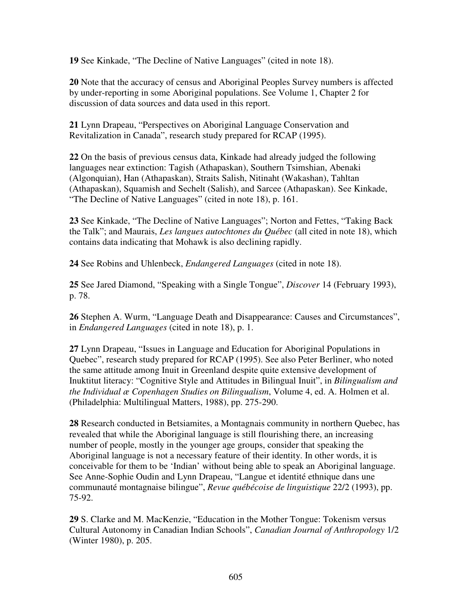**19** See Kinkade, "The Decline of Native Languages" (cited in note 18).

**20** Note that the accuracy of census and Aboriginal Peoples Survey numbers is affected by under-reporting in some Aboriginal populations. See Volume 1, Chapter 2 for discussion of data sources and data used in this report.

**21** Lynn Drapeau, "Perspectives on Aboriginal Language Conservation and Revitalization in Canada", research study prepared for RCAP (1995).

**22** On the basis of previous census data, Kinkade had already judged the following languages near extinction: Tagish (Athapaskan), Southern Tsimshian, Abenaki (Algonquian), Han (Athapaskan), Straits Salish, Nitinaht (Wakashan), Tahltan (Athapaskan), Squamish and Sechelt (Salish), and Sarcee (Athapaskan). See Kinkade, "The Decline of Native Languages" (cited in note 18), p. 161.

**23** See Kinkade, "The Decline of Native Languages"; Norton and Fettes, "Taking Back the Talk"; and Maurais, *Les langues autochtones du Québec* (all cited in note 18), which contains data indicating that Mohawk is also declining rapidly.

**24** See Robins and Uhlenbeck, *Endangered Languages* (cited in note 18).

**25** See Jared Diamond, "Speaking with a Single Tongue", *Discover* 14 (February 1993), p. 78.

**26** Stephen A. Wurm, "Language Death and Disappearance: Causes and Circumstances", in *Endangered Languages* (cited in note 18), p. 1.

**27** Lynn Drapeau, "Issues in Language and Education for Aboriginal Populations in Quebec", research study prepared for RCAP (1995). See also Peter Berliner, who noted the same attitude among Inuit in Greenland despite quite extensive development of Inuktitut literacy: "Cognitive Style and Attitudes in Bilingual Inuit", in *Bilingualism and the Individual æ Copenhagen Studies on Bilingualism*, Volume 4, ed. A. Holmen et al. (Philadelphia: Multilingual Matters, 1988), pp. 275-290.

**28** Research conducted in Betsiamites, a Montagnais community in northern Quebec, has revealed that while the Aboriginal language is still flourishing there, an increasing number of people, mostly in the younger age groups, consider that speaking the Aboriginal language is not a necessary feature of their identity. In other words, it is conceivable for them to be 'Indian' without being able to speak an Aboriginal language. See Anne-Sophie Oudin and Lynn Drapeau, "Langue et identité ethnique dans une communauté montagnaise bilingue", *Revue québécoise de linguistique* 22/2 (1993), pp. 75-92.

**29** S. Clarke and M. MacKenzie, "Education in the Mother Tongue: Tokenism versus Cultural Autonomy in Canadian Indian Schools", *Canadian Journal of Anthropology* 1/2 (Winter 1980), p. 205.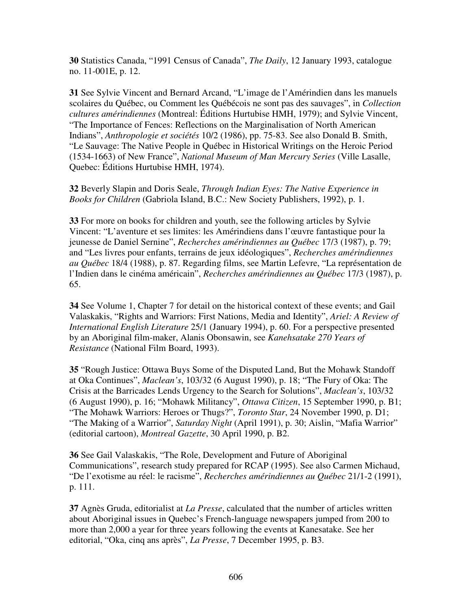**30** Statistics Canada, "1991 Census of Canada", *The Daily*, 12 January 1993, catalogue no. 11-001E, p. 12.

**31** See Sylvie Vincent and Bernard Arcand, "L'image de l'Amérindien dans les manuels scolaires du Québec, ou Comment les Québécois ne sont pas des sauvages", in *Collection cultures amérindiennes* (Montreal: Éditions Hurtubise HMH, 1979); and Sylvie Vincent, "The Importance of Fences: Reflections on the Marginalisation of North American Indians", *Anthropologie et sociétés* 10/2 (1986), pp. 75-83. See also Donald B. Smith, "Le Sauvage: The Native People in Québec in Historical Writings on the Heroic Period (1534-1663) of New France", *National Museum of Man Mercury Series* (Ville Lasalle, Quebec: Éditions Hurtubise HMH, 1974).

**32** Beverly Slapin and Doris Seale, *Through Indian Eyes: The Native Experience in Books for Children* (Gabriola Island, B.C.: New Society Publishers, 1992), p. 1.

**33** For more on books for children and youth, see the following articles by Sylvie Vincent: "L'aventure et ses limites: les Amérindiens dans l'œuvre fantastique pour la jeunesse de Daniel Sernine", *Recherches amérindiennes au Québec* 17/3 (1987), p. 79; and "Les livres pour enfants, terrains de jeux idéologiques", *Recherches amérindiennes au Québec* 18/4 (1988), p. 87. Regarding films, see Martin Lefevre, "La représentation de l'Indien dans le cinéma américain", *Recherches amérindiennes au Québec* 17/3 (1987), p. 65.

**34** See Volume 1, Chapter 7 for detail on the historical context of these events; and Gail Valaskakis, "Rights and Warriors: First Nations, Media and Identity", *Ariel: A Review of International English Literature* 25/1 (January 1994), p. 60. For a perspective presented by an Aboriginal film-maker, Alanis Obonsawin, see *Kanehsatake 270 Years of Resistance* (National Film Board, 1993).

**35** "Rough Justice: Ottawa Buys Some of the Disputed Land, But the Mohawk Standoff at Oka Continues", *Maclean's*, 103/32 (6 August 1990), p. 18; "The Fury of Oka: The Crisis at the Barricades Lends Urgency to the Search for Solutions", *Maclean's*, 103/32 (6 August 1990), p. 16; "Mohawk Militancy", *Ottawa Citizen*, 15 September 1990, p. B1; "The Mohawk Warriors: Heroes or Thugs?", *Toronto Star*, 24 November 1990, p. D1; "The Making of a Warrior", *Saturday Night* (April 1991), p. 30; Aislin, "Mafia Warrior" (editorial cartoon), *Montreal Gazette*, 30 April 1990, p. B2.

**36** See Gail Valaskakis, "The Role, Development and Future of Aboriginal Communications", research study prepared for RCAP (1995). See also Carmen Michaud, "De l'exotisme au réel: le racisme", *Recherches amérindiennes au Québec* 21/1-2 (1991), p. 111.

**37** Agnès Gruda, editorialist at *La Presse*, calculated that the number of articles written about Aboriginal issues in Quebec's French-language newspapers jumped from 200 to more than 2,000 a year for three years following the events at Kanesatake. See her editorial, "Oka, cinq ans après", *La Presse*, 7 December 1995, p. B3.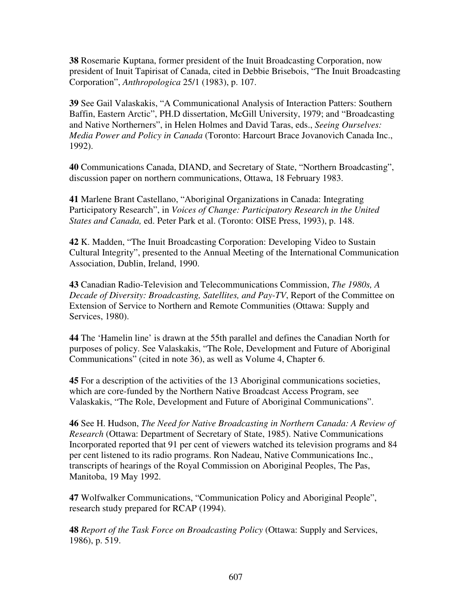**38** Rosemarie Kuptana, former president of the Inuit Broadcasting Corporation, now president of Inuit Tapirisat of Canada, cited in Debbie Brisebois, "The Inuit Broadcasting Corporation", *Anthropologica* 25/1 (1983), p. 107.

**39** See Gail Valaskakis, "A Communicational Analysis of Interaction Patters: Southern Baffin, Eastern Arctic", PH.D dissertation, McGill University, 1979; and "Broadcasting and Native Northerners", in Helen Holmes and David Taras, eds., *Seeing Ourselves: Media Power and Policy in Canada* (Toronto: Harcourt Brace Jovanovich Canada Inc., 1992).

**40** Communications Canada, DIAND, and Secretary of State, "Northern Broadcasting", discussion paper on northern communications, Ottawa, 18 February 1983.

**41** Marlene Brant Castellano, "Aboriginal Organizations in Canada: Integrating Participatory Research", in *Voices of Change: Participatory Research in the United States and Canada,* ed. Peter Park et al. (Toronto: OISE Press, 1993), p. 148.

**42** K. Madden, "The Inuit Broadcasting Corporation: Developing Video to Sustain Cultural Integrity", presented to the Annual Meeting of the International Communication Association, Dublin, Ireland, 1990.

**43** Canadian Radio-Television and Telecommunications Commission, *The 1980s, A Decade of Diversity: Broadcasting, Satellites, and Pay-TV*, Report of the Committee on Extension of Service to Northern and Remote Communities (Ottawa: Supply and Services, 1980).

**44** The 'Hamelin line' is drawn at the 55th parallel and defines the Canadian North for purposes of policy. See Valaskakis, "The Role, Development and Future of Aboriginal Communications" (cited in note 36), as well as Volume 4, Chapter 6.

**45** For a description of the activities of the 13 Aboriginal communications societies, which are core-funded by the Northern Native Broadcast Access Program, see Valaskakis, "The Role, Development and Future of Aboriginal Communications".

**46** See H. Hudson, *The Need for Native Broadcasting in Northern Canada: A Review of Research* (Ottawa: Department of Secretary of State, 1985). Native Communications Incorporated reported that 91 per cent of viewers watched its television programs and 84 per cent listened to its radio programs. Ron Nadeau, Native Communications Inc., transcripts of hearings of the Royal Commission on Aboriginal Peoples, The Pas, Manitoba, 19 May 1992.

**47** Wolfwalker Communications, "Communication Policy and Aboriginal People", research study prepared for RCAP (1994).

**48** *Report of the Task Force on Broadcasting Policy* (Ottawa: Supply and Services, 1986), p. 519.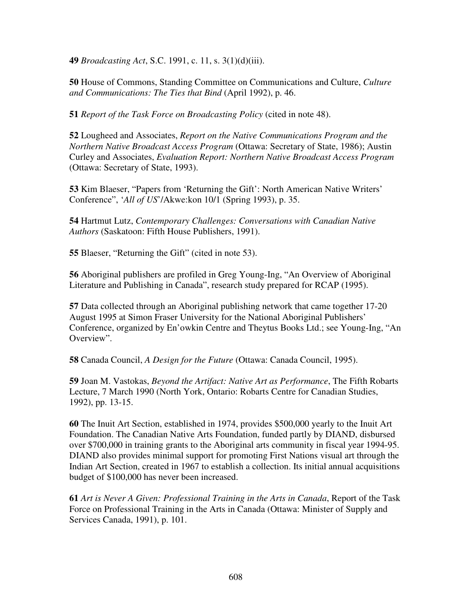**49** *Broadcasting Act*, S.C. 1991, c. 11, s. 3(1)(d)(iii).

**50** House of Commons, Standing Committee on Communications and Culture, *Culture and Communications: The Ties that Bind* (April 1992), p. 46.

**51** *Report of the Task Force on Broadcasting Policy* (cited in note 48).

**52** Lougheed and Associates, *Report on the Native Communications Program and the Northern Native Broadcast Access Program* (Ottawa: Secretary of State, 1986); Austin Curley and Associates, *Evaluation Report: Northern Native Broadcast Access Program* (Ottawa: Secretary of State, 1993).

**53** Kim Blaeser, "Papers from 'Returning the Gift': North American Native Writers' Conference", '*All of US*'/Akwe:kon 10/1 (Spring 1993), p. 35.

**54** Hartmut Lutz, *Contemporary Challenges: Conversations with Canadian Native Authors* (Saskatoon: Fifth House Publishers, 1991).

**55** Blaeser, "Returning the Gift" (cited in note 53).

**56** Aboriginal publishers are profiled in Greg Young-Ing, "An Overview of Aboriginal Literature and Publishing in Canada", research study prepared for RCAP (1995).

**57** Data collected through an Aboriginal publishing network that came together 17-20 August 1995 at Simon Fraser University for the National Aboriginal Publishers' Conference, organized by En'owkin Centre and Theytus Books Ltd.; see Young-Ing, "An Overview".

**58** Canada Council, *A Design for the Future* (Ottawa: Canada Council, 1995).

**59** Joan M. Vastokas, *Beyond the Artifact: Native Art as Performance*, The Fifth Robarts Lecture, 7 March 1990 (North York, Ontario: Robarts Centre for Canadian Studies, 1992), pp. 13-15.

**60** The Inuit Art Section, established in 1974, provides \$500,000 yearly to the Inuit Art Foundation. The Canadian Native Arts Foundation, funded partly by DIAND, disbursed over \$700,000 in training grants to the Aboriginal arts community in fiscal year 1994-95. DIAND also provides minimal support for promoting First Nations visual art through the Indian Art Section, created in 1967 to establish a collection. Its initial annual acquisitions budget of \$100,000 has never been increased.

**61** *Art is Never A Given: Professional Training in the Arts in Canada*, Report of the Task Force on Professional Training in the Arts in Canada (Ottawa: Minister of Supply and Services Canada, 1991), p. 101.